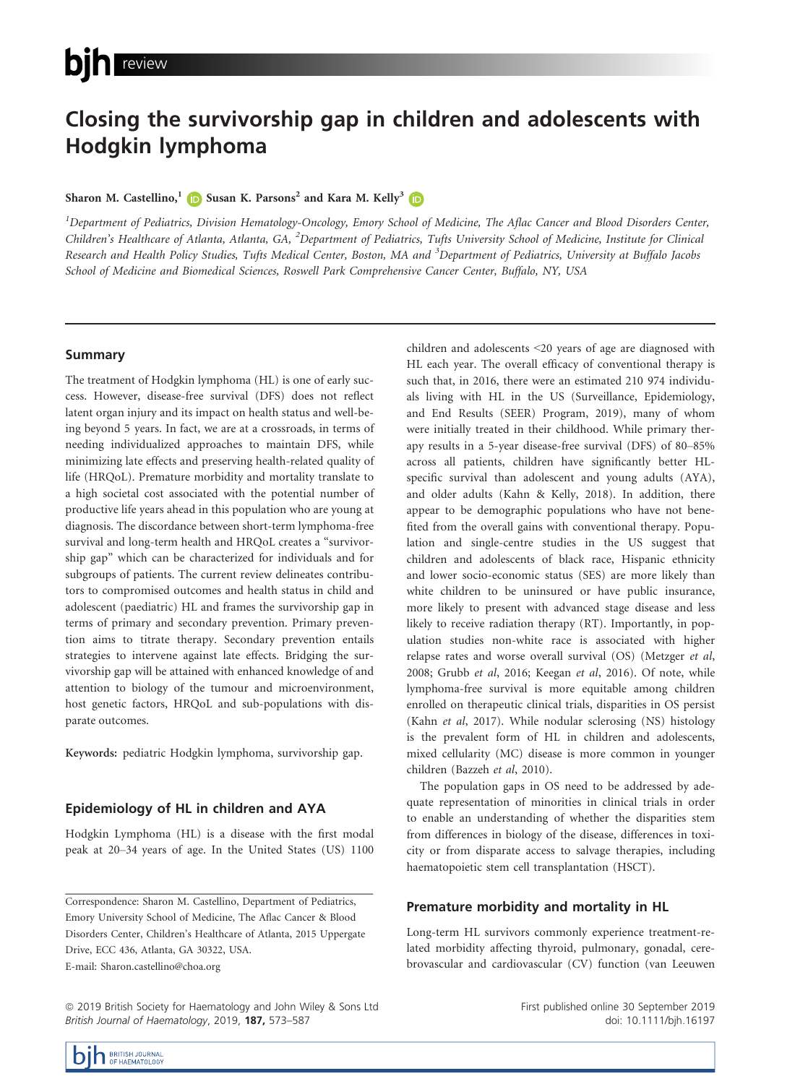# Closing the survivorship gap in children and adolescents with Hodgkin lymphoma

## Sharon M. Castellino,<sup>[1](https://orcid.org/0000-0001-8367-2002)</sup> Susan K. Parsons<sup>2</sup> and Kara M. Kelly<sup>3</sup>

 $^{\rm I}$ Department of Pediatrics, Division Hematology-Oncology, Emory School of Medicine, The Aflac Cancer and Blood Disorders Center, Children's Healthcare of Atlanta, Atlanta, GA, <sup>2</sup>Department of Pediatrics, Tufts University School of Medicine, Institute for Clinical Research and Health Policy Studies, Tufts Medical Center, Boston, MA and <sup>3</sup>Department of Pediatrics, University at Buffalo Jacobs School of Medicine and Biomedical Sciences, Roswell Park Comprehensive Cancer Center, Buffalo, NY, USA

# Summary

The treatment of Hodgkin lymphoma (HL) is one of early success. However, disease-free survival (DFS) does not reflect latent organ injury and its impact on health status and well-being beyond 5 years. In fact, we are at a crossroads, in terms of needing individualized approaches to maintain DFS, while minimizing late effects and preserving health-related quality of life (HRQoL). Premature morbidity and mortality translate to a high societal cost associated with the potential number of productive life years ahead in this population who are young at diagnosis. The discordance between short-term lymphoma-free survival and long-term health and HRQoL creates a "survivorship gap" which can be characterized for individuals and for subgroups of patients. The current review delineates contributors to compromised outcomes and health status in child and adolescent (paediatric) HL and frames the survivorship gap in terms of primary and secondary prevention. Primary prevention aims to titrate therapy. Secondary prevention entails strategies to intervene against late effects. Bridging the survivorship gap will be attained with enhanced knowledge of and attention to biology of the tumour and microenvironment, host genetic factors, HRQoL and sub-populations with disparate outcomes.

Keywords: pediatric Hodgkin lymphoma, survivorship gap.

# Epidemiology of HL in children and AYA

Hodgkin Lymphoma (HL) is a disease with the first modal peak at 20–34 years of age. In the United States (US) 1100

ª 2019 British Society for Haematology and John Wiley & Sons Ltd British Journal of Haematology, 2019, 187, 573-587

children and adolescents <20 years of age are diagnosed with HL each year. The overall efficacy of conventional therapy is such that, in 2016, there were an estimated 210 974 individuals living with HL in the US (Surveillance, Epidemiology, and End Results (SEER) Program, 2019), many of whom were initially treated in their childhood. While primary therapy results in a 5-year disease-free survival (DFS) of 80–85% across all patients, children have significantly better HLspecific survival than adolescent and young adults (AYA), and older adults (Kahn & Kelly, 2018). In addition, there appear to be demographic populations who have not benefited from the overall gains with conventional therapy. Population and single-centre studies in the US suggest that children and adolescents of black race, Hispanic ethnicity and lower socio-economic status (SES) are more likely than white children to be uninsured or have public insurance, more likely to present with advanced stage disease and less likely to receive radiation therapy (RT). Importantly, in population studies non-white race is associated with higher relapse rates and worse overall survival (OS) (Metzger et al, 2008; Grubb et al, 2016; Keegan et al, 2016). Of note, while lymphoma-free survival is more equitable among children enrolled on therapeutic clinical trials, disparities in OS persist (Kahn et al, 2017). While nodular sclerosing (NS) histology is the prevalent form of HL in children and adolescents, mixed cellularity (MC) disease is more common in younger children (Bazzeh et al, 2010).

The population gaps in OS need to be addressed by adequate representation of minorities in clinical trials in order to enable an understanding of whether the disparities stem from differences in biology of the disease, differences in toxicity or from disparate access to salvage therapies, including haematopoietic stem cell transplantation (HSCT).

## Premature morbidity and mortality in HL

Long-term HL survivors commonly experience treatment-related morbidity affecting thyroid, pulmonary, gonadal, cerebrovascular and cardiovascular (CV) function (van Leeuwen



First published online 30 September 2019 doi: 10.1111/bjh.16197

Correspondence: Sharon M. Castellino, Department of Pediatrics, Emory University School of Medicine, The Aflac Cancer & Blood Disorders Center, Children's Healthcare of Atlanta, 2015 Uppergate Drive, ECC 436, Atlanta, GA 30322, USA. E-mail: [Sharon.castellino@choa.org](mailto:)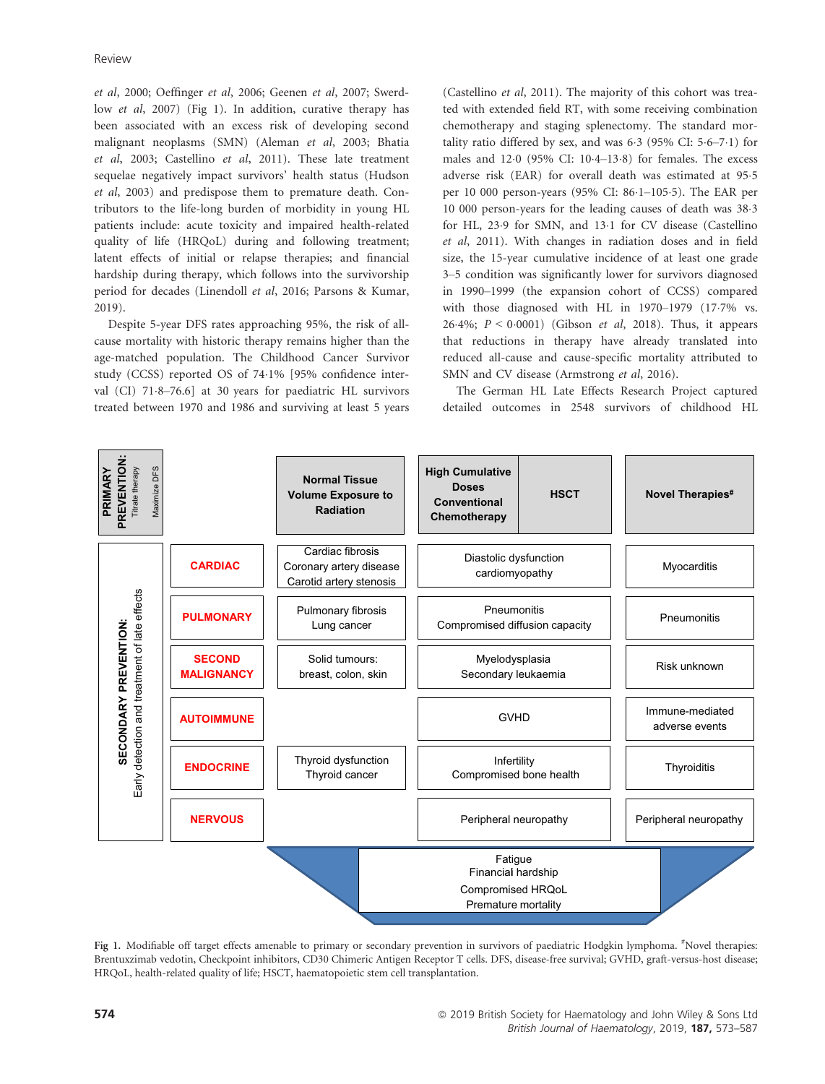et al, 2000; Oeffinger et al, 2006; Geenen et al, 2007; Swerdlow et al, 2007) (Fig 1). In addition, curative therapy has been associated with an excess risk of developing second malignant neoplasms (SMN) (Aleman et al, 2003; Bhatia et al, 2003; Castellino et al, 2011). These late treatment sequelae negatively impact survivors' health status (Hudson et al, 2003) and predispose them to premature death. Contributors to the life-long burden of morbidity in young HL patients include: acute toxicity and impaired health-related quality of life (HRQoL) during and following treatment; latent effects of initial or relapse therapies; and financial hardship during therapy, which follows into the survivorship period for decades (Linendoll et al, 2016; Parsons & Kumar, 2019).

Despite 5-year DFS rates approaching 95%, the risk of allcause mortality with historic therapy remains higher than the age-matched population. The Childhood Cancer Survivor study (CCSS) reported OS of 741% [95% confidence interval (CI)  $71.8-76.6$ ] at 30 years for paediatric HL survivors treated between 1970 and 1986 and surviving at least 5 years (Castellino et al, 2011). The majority of this cohort was treated with extended field RT, with some receiving combination chemotherapy and staging splenectomy. The standard mortality ratio differed by sex, and was  $6.3$  (95% CI:  $5.6-7.1$ ) for males and 120 (95% CI: 104–138) for females. The excess adverse risk (EAR) for overall death was estimated at 95.5 per 10 000 person-years (95% CI: 861–1055). The EAR per 10 000 person-years for the leading causes of death was 383 for HL, 23.9 for SMN, and 13.1 for CV disease (Castellino et al, 2011). With changes in radiation doses and in field size, the 15-year cumulative incidence of at least one grade 3–5 condition was significantly lower for survivors diagnosed in 1990–1999 (the expansion cohort of CCSS) compared with those diagnosed with HL in 1970–1979 (17.7% vs. 26.4%;  $P < 0.0001$ ) (Gibson *et al*, 2018). Thus, it appears that reductions in therapy have already translated into reduced all-cause and cause-specific mortality attributed to SMN and CV disease (Armstrong et al, 2016).

The German HL Late Effects Research Project captured detailed outcomes in 2548 survivors of childhood HL



Fig 1. Modifiable off target effects amenable to primary or secondary prevention in survivors of paediatric Hodgkin lymphoma. *"*Novel therapies: Brentuxzimab vedotin, Checkpoint inhibitors, CD30 Chimeric Antigen Receptor T cells. DFS, disease-free survival; GVHD, graft-versus-host disease; HRQoL, health-related quality of life; HSCT, haematopoietic stem cell transplantation.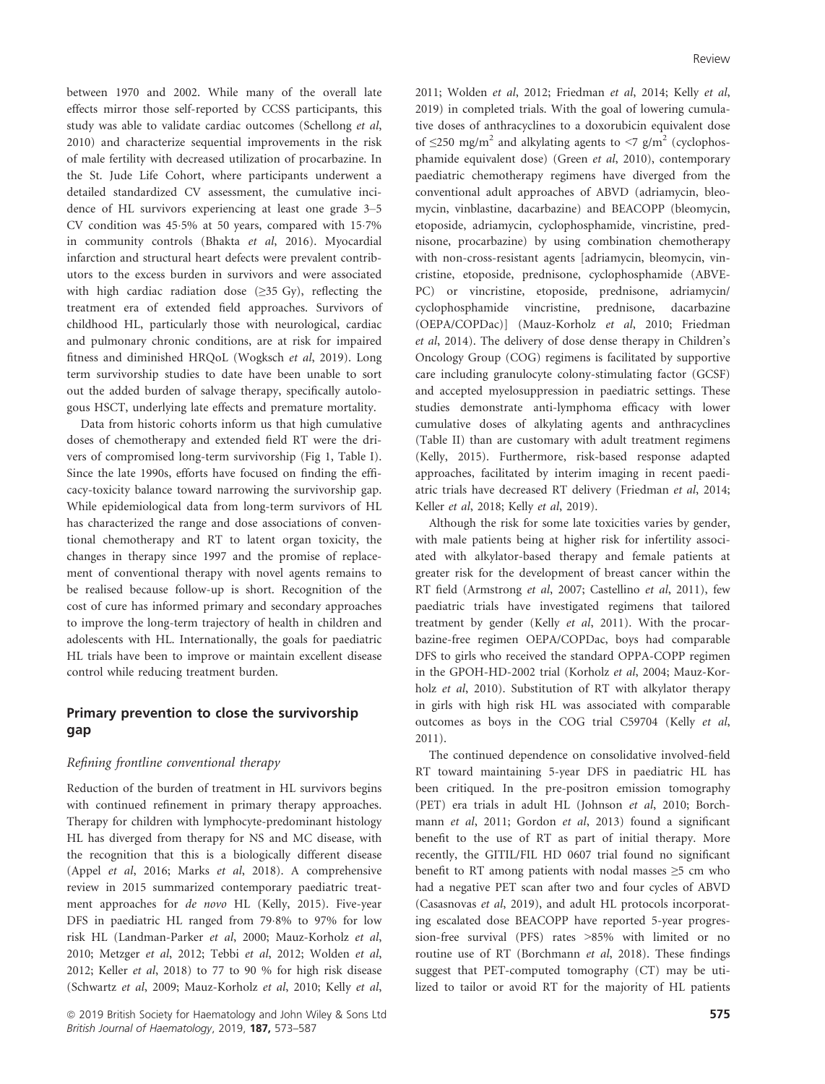between 1970 and 2002. While many of the overall late effects mirror those self-reported by CCSS participants, this study was able to validate cardiac outcomes (Schellong et al, 2010) and characterize sequential improvements in the risk of male fertility with decreased utilization of procarbazine. In the St. Jude Life Cohort, where participants underwent a detailed standardized CV assessment, the cumulative incidence of HL survivors experiencing at least one grade 3–5 CV condition was 45.5% at 50 years, compared with 15.7% in community controls (Bhakta et al, 2016). Myocardial infarction and structural heart defects were prevalent contributors to the excess burden in survivors and were associated with high cardiac radiation dose  $(\geq 35 \text{ Gy})$ , reflecting the treatment era of extended field approaches. Survivors of childhood HL, particularly those with neurological, cardiac and pulmonary chronic conditions, are at risk for impaired fitness and diminished HRQoL (Wogksch et al, 2019). Long term survivorship studies to date have been unable to sort out the added burden of salvage therapy, specifically autologous HSCT, underlying late effects and premature mortality.

Data from historic cohorts inform us that high cumulative doses of chemotherapy and extended field RT were the drivers of compromised long-term survivorship (Fig 1, Table I). Since the late 1990s, efforts have focused on finding the efficacy-toxicity balance toward narrowing the survivorship gap. While epidemiological data from long-term survivors of HL has characterized the range and dose associations of conventional chemotherapy and RT to latent organ toxicity, the changes in therapy since 1997 and the promise of replacement of conventional therapy with novel agents remains to be realised because follow-up is short. Recognition of the cost of cure has informed primary and secondary approaches to improve the long-term trajectory of health in children and adolescents with HL. Internationally, the goals for paediatric HL trials have been to improve or maintain excellent disease control while reducing treatment burden.

# Primary prevention to close the survivorship gap

# Refining frontline conventional therapy

Reduction of the burden of treatment in HL survivors begins with continued refinement in primary therapy approaches. Therapy for children with lymphocyte-predominant histology HL has diverged from therapy for NS and MC disease, with the recognition that this is a biologically different disease (Appel et al, 2016; Marks et al, 2018). A comprehensive review in 2015 summarized contemporary paediatric treatment approaches for de novo HL (Kelly, 2015). Five-year DFS in paediatric HL ranged from 798% to 97% for low risk HL (Landman-Parker et al, 2000; Mauz-Korholz et al, 2010; Metzger et al, 2012; Tebbi et al, 2012; Wolden et al, 2012; Keller et al, 2018) to 77 to 90 % for high risk disease (Schwartz et al, 2009; Mauz-Korholz et al, 2010; Kelly et al, 2011; Wolden et al, 2012; Friedman et al, 2014; Kelly et al, 2019) in completed trials. With the goal of lowering cumulative doses of anthracyclines to a doxorubicin equivalent dose of  $\leq$ 250 mg/m<sup>2</sup> and alkylating agents to  $\leq$ 7 g/m<sup>2</sup> (cyclophosphamide equivalent dose) (Green et al, 2010), contemporary paediatric chemotherapy regimens have diverged from the conventional adult approaches of ABVD (adriamycin, bleomycin, vinblastine, dacarbazine) and BEACOPP (bleomycin, etoposide, adriamycin, cyclophosphamide, vincristine, prednisone, procarbazine) by using combination chemotherapy with non-cross-resistant agents [adriamycin, bleomycin, vincristine, etoposide, prednisone, cyclophosphamide (ABVE-PC) or vincristine, etoposide, prednisone, adriamycin/ cyclophosphamide vincristine, prednisone, dacarbazine (OEPA/COPDac)] (Mauz-Korholz et al, 2010; Friedman et al, 2014). The delivery of dose dense therapy in Children's Oncology Group (COG) regimens is facilitated by supportive care including granulocyte colony-stimulating factor (GCSF) and accepted myelosuppression in paediatric settings. These studies demonstrate anti-lymphoma efficacy with lower cumulative doses of alkylating agents and anthracyclines (Table II) than are customary with adult treatment regimens (Kelly, 2015). Furthermore, risk-based response adapted approaches, facilitated by interim imaging in recent paediatric trials have decreased RT delivery (Friedman et al, 2014; Keller et al, 2018; Kelly et al, 2019).

Although the risk for some late toxicities varies by gender, with male patients being at higher risk for infertility associated with alkylator-based therapy and female patients at greater risk for the development of breast cancer within the RT field (Armstrong et al, 2007; Castellino et al, 2011), few paediatric trials have investigated regimens that tailored treatment by gender (Kelly et al, 2011). With the procarbazine-free regimen OEPA/COPDac, boys had comparable DFS to girls who received the standard OPPA-COPP regimen in the GPOH-HD-2002 trial (Korholz et al, 2004; Mauz-Korholz et al, 2010). Substitution of RT with alkylator therapy in girls with high risk HL was associated with comparable outcomes as boys in the COG trial C59704 (Kelly et al, 2011).

The continued dependence on consolidative involved-field RT toward maintaining 5-year DFS in paediatric HL has been critiqued. In the pre-positron emission tomography (PET) era trials in adult HL (Johnson et al, 2010; Borchmann et al, 2011; Gordon et al, 2013) found a significant benefit to the use of RT as part of initial therapy. More recently, the GITIL/FIL HD 0607 trial found no significant benefit to RT among patients with nodal masses  $\geq$ 5 cm who had a negative PET scan after two and four cycles of ABVD (Casasnovas et al, 2019), and adult HL protocols incorporating escalated dose BEACOPP have reported 5-year progression-free survival (PFS) rates >85% with limited or no routine use of RT (Borchmann et al, 2018). These findings suggest that PET-computed tomography (CT) may be utilized to tailor or avoid RT for the majority of HL patients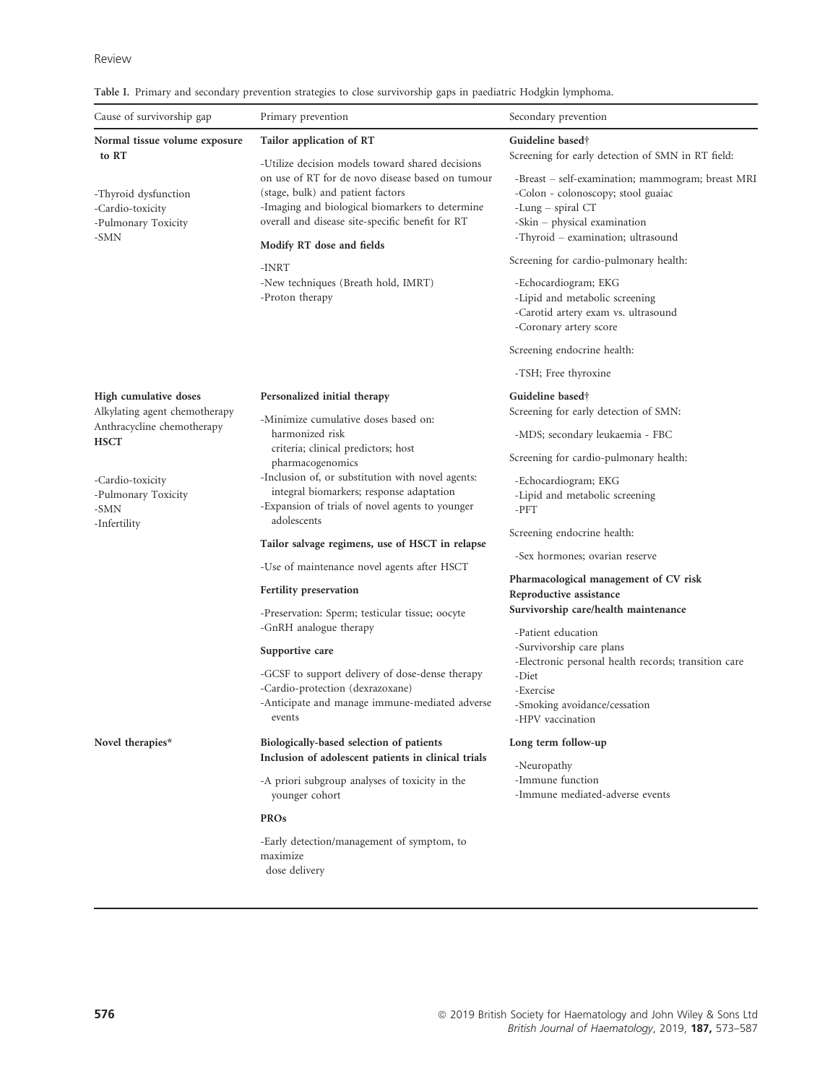|  |  |  |  |  |  | Table I. Primary and secondary prevention strategies to close survivorship gaps in paediatric Hodgkin lymphoma. |  |  |  |  |
|--|--|--|--|--|--|-----------------------------------------------------------------------------------------------------------------|--|--|--|--|
|--|--|--|--|--|--|-----------------------------------------------------------------------------------------------------------------|--|--|--|--|

|                                                                 |                                                                                                                                          | Secondary prevention                                                                                                            |  |  |  |
|-----------------------------------------------------------------|------------------------------------------------------------------------------------------------------------------------------------------|---------------------------------------------------------------------------------------------------------------------------------|--|--|--|
| Normal tissue volume exposure                                   | Tailor application of RT                                                                                                                 | Guideline based†<br>Screening for early detection of SMN in RT field:<br>-Breast – self-examination; mammogram; breast MRI      |  |  |  |
| to RT                                                           | -Utilize decision models toward shared decisions<br>on use of RT for de novo disease based on tumour                                     |                                                                                                                                 |  |  |  |
| -Thyroid dysfunction<br>-Cardio-toxicity<br>-Pulmonary Toxicity | (stage, bulk) and patient factors<br>-Imaging and biological biomarkers to determine<br>overall and disease site-specific benefit for RT | -Colon - colonoscopy; stool guaiac<br>-Lung $-$ spiral CT<br>-Skin - physical examination<br>-Thyroid - examination; ultrasound |  |  |  |
| -SMN                                                            |                                                                                                                                          |                                                                                                                                 |  |  |  |
|                                                                 | Modify RT dose and fields                                                                                                                | Screening for cardio-pulmonary health:                                                                                          |  |  |  |
|                                                                 | -INRT<br>-New techniques (Breath hold, IMRT)<br>-Proton therapy                                                                          | -Echocardiogram; EKG<br>-Lipid and metabolic screening<br>-Carotid artery exam vs. ultrasound<br>-Coronary artery score         |  |  |  |
|                                                                 |                                                                                                                                          |                                                                                                                                 |  |  |  |
|                                                                 |                                                                                                                                          | Screening endocrine health:                                                                                                     |  |  |  |
|                                                                 |                                                                                                                                          | -TSH; Free thyroxine                                                                                                            |  |  |  |
| High cumulative doses                                           | Personalized initial therapy                                                                                                             | Guideline based†                                                                                                                |  |  |  |
| Alkylating agent chemotherapy<br>Anthracycline chemotherapy     | -Minimize cumulative doses based on:<br>harmonized risk                                                                                  | Screening for early detection of SMN:<br>-MDS; secondary leukaemia - FBC                                                        |  |  |  |
| <b>HSCT</b>                                                     | criteria; clinical predictors; host                                                                                                      | Screening for cardio-pulmonary health:                                                                                          |  |  |  |
| -Cardio-toxicity                                                | pharmacogenomics<br>-Inclusion of, or substitution with novel agents:<br>integral biomarkers; response adaptation                        | -Echocardiogram; EKG                                                                                                            |  |  |  |
| -Pulmonary Toxicity<br>-SMN                                     | -Expansion of trials of novel agents to younger<br>adolescents                                                                           | -Lipid and metabolic screening<br>-PFT                                                                                          |  |  |  |
| -Infertility                                                    |                                                                                                                                          | Screening endocrine health:                                                                                                     |  |  |  |
|                                                                 | Tailor salvage regimens, use of HSCT in relapse<br>-Use of maintenance novel agents after HSCT                                           | -Sex hormones; ovarian reserve<br>Pharmacological management of CV risk<br>Reproductive assistance                              |  |  |  |
|                                                                 | <b>Fertility preservation</b>                                                                                                            |                                                                                                                                 |  |  |  |
|                                                                 | -Preservation: Sperm; testicular tissue; oocyte                                                                                          | Survivorship care/health maintenance                                                                                            |  |  |  |
|                                                                 | -GnRH analogue therapy                                                                                                                   | -Patient education                                                                                                              |  |  |  |
|                                                                 | Supportive care                                                                                                                          | -Survivorship care plans<br>-Electronic personal health records; transition care                                                |  |  |  |
|                                                                 | -GCSF to support delivery of dose-dense therapy                                                                                          | -Diet                                                                                                                           |  |  |  |
|                                                                 | -Cardio-protection (dexrazoxane)<br>-Anticipate and manage immune-mediated adverse                                                       | -Exercise<br>-Smoking avoidance/cessation                                                                                       |  |  |  |
|                                                                 | events                                                                                                                                   | -HPV vaccination                                                                                                                |  |  |  |
| Novel therapies*                                                | Biologically-based selection of patients                                                                                                 | Long term follow-up                                                                                                             |  |  |  |
|                                                                 | Inclusion of adolescent patients in clinical trials                                                                                      | -Neuropathy                                                                                                                     |  |  |  |
|                                                                 | -A priori subgroup analyses of toxicity in the<br>younger cohort                                                                         | -Immune function<br>-Immune mediated-adverse events                                                                             |  |  |  |
|                                                                 | <b>PROs</b>                                                                                                                              |                                                                                                                                 |  |  |  |
|                                                                 | -Early detection/management of symptom, to<br>maximize<br>dose delivery                                                                  |                                                                                                                                 |  |  |  |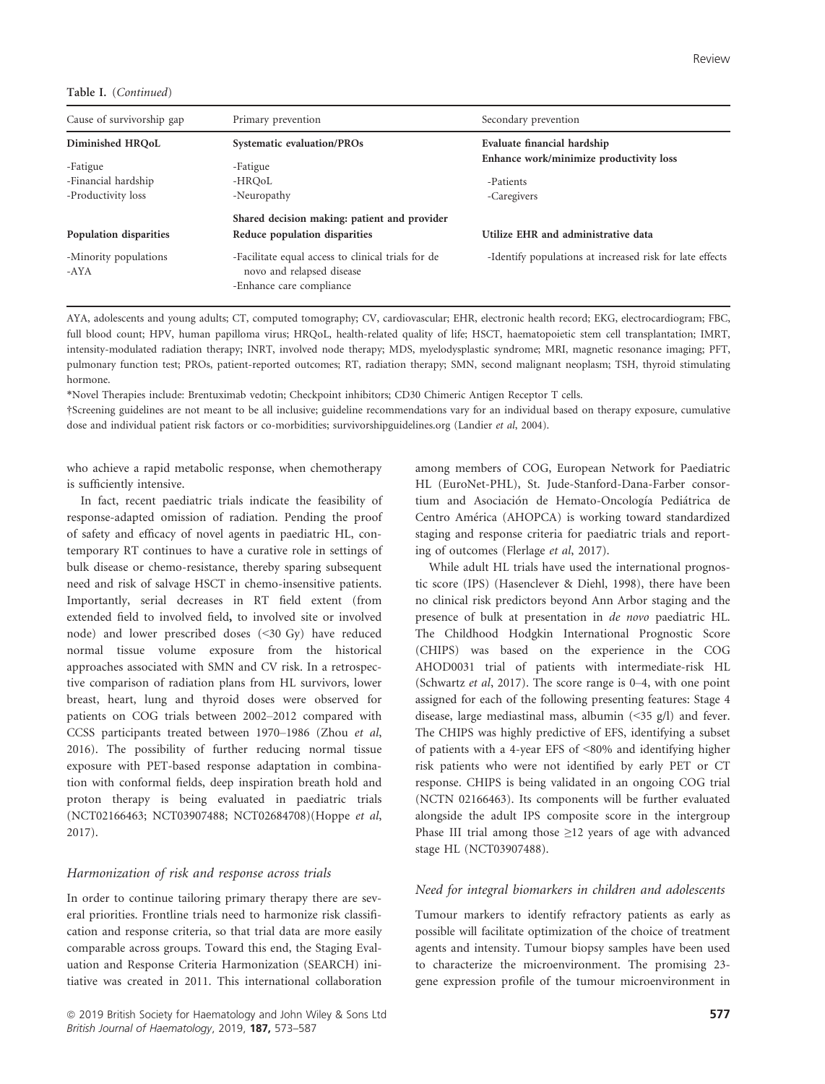Table I. (Continued)

| Cause of survivorship gap     | Primary prevention                                                                                          | Secondary prevention                                     |  |  |  |
|-------------------------------|-------------------------------------------------------------------------------------------------------------|----------------------------------------------------------|--|--|--|
| Diminished HROoL              | Systematic evaluation/PROs                                                                                  | Evaluate financial hardship                              |  |  |  |
| -Fatigue                      | -Fatigue                                                                                                    | Enhance work/minimize productivity loss                  |  |  |  |
| -Financial hardship           | -HROoL                                                                                                      | -Patients                                                |  |  |  |
| -Productivity loss            | -Neuropathy                                                                                                 | -Caregivers                                              |  |  |  |
|                               | Shared decision making: patient and provider                                                                |                                                          |  |  |  |
| Population disparities        | Reduce population disparities                                                                               | Utilize EHR and administrative data                      |  |  |  |
| -Minority populations<br>-AYA | -Facilitate equal access to clinical trials for de<br>novo and relapsed disease<br>-Enhance care compliance | -Identify populations at increased risk for late effects |  |  |  |

AYA, adolescents and young adults; CT, computed tomography; CV, cardiovascular; EHR, electronic health record; EKG, electrocardiogram; FBC, full blood count; HPV, human papilloma virus; HRQoL, health-related quality of life; HSCT, haematopoietic stem cell transplantation; IMRT, intensity-modulated radiation therapy; INRT, involved node therapy; MDS, myelodysplastic syndrome; MRI, magnetic resonance imaging; PFT, pulmonary function test; PROs, patient-reported outcomes; RT, radiation therapy; SMN, second malignant neoplasm; TSH, thyroid stimulating hormone.

\*Novel Therapies include: Brentuximab vedotin; Checkpoint inhibitors; CD30 Chimeric Antigen Receptor T cells.

†Screening guidelines are not meant to be all inclusive; guideline recommendations vary for an individual based on therapy exposure, cumulative dose and individual patient risk factors or co-morbidities; survivorshipguidelines.org (Landier et al, 2004).

who achieve a rapid metabolic response, when chemotherapy is sufficiently intensive.

In fact, recent paediatric trials indicate the feasibility of response-adapted omission of radiation. Pending the proof of safety and efficacy of novel agents in paediatric HL, contemporary RT continues to have a curative role in settings of bulk disease or chemo-resistance, thereby sparing subsequent need and risk of salvage HSCT in chemo-insensitive patients. Importantly, serial decreases in RT field extent (from extended field to involved field, to involved site or involved node) and lower prescribed doses (<30 Gy) have reduced normal tissue volume exposure from the historical approaches associated with SMN and CV risk. In a retrospective comparison of radiation plans from HL survivors, lower breast, heart, lung and thyroid doses were observed for patients on COG trials between 2002–2012 compared with CCSS participants treated between 1970–1986 (Zhou et al, 2016). The possibility of further reducing normal tissue exposure with PET-based response adaptation in combination with conformal fields, deep inspiration breath hold and proton therapy is being evaluated in paediatric trials (NCT02166463; NCT03907488; NCT02684708)(Hoppe et al, 2017).

#### Harmonization of risk and response across trials

In order to continue tailoring primary therapy there are several priorities. Frontline trials need to harmonize risk classification and response criteria, so that trial data are more easily comparable across groups. Toward this end, the Staging Evaluation and Response Criteria Harmonization (SEARCH) initiative was created in 2011. This international collaboration among members of COG, European Network for Paediatric HL (EuroNet-PHL), St. Jude-Stanford-Dana-Farber consortium and Asociación de Hemato-Oncología Pediátrica de Centro America (AHOPCA) is working toward standardized staging and response criteria for paediatric trials and reporting of outcomes (Flerlage et al, 2017).

While adult HL trials have used the international prognostic score (IPS) (Hasenclever & Diehl, 1998), there have been no clinical risk predictors beyond Ann Arbor staging and the presence of bulk at presentation in de novo paediatric HL. The Childhood Hodgkin International Prognostic Score (CHIPS) was based on the experience in the COG AHOD0031 trial of patients with intermediate-risk HL (Schwartz et al, 2017). The score range is 0–4, with one point assigned for each of the following presenting features: Stage 4 disease, large mediastinal mass, albumin (<35 g/l) and fever. The CHIPS was highly predictive of EFS, identifying a subset of patients with a 4-year EFS of <80% and identifying higher risk patients who were not identified by early PET or CT response. CHIPS is being validated in an ongoing COG trial (NCTN 02166463). Its components will be further evaluated alongside the adult IPS composite score in the intergroup Phase III trial among those ≥12 years of age with advanced stage HL (NCT03907488).

## Need for integral biomarkers in children and adolescents

Tumour markers to identify refractory patients as early as possible will facilitate optimization of the choice of treatment agents and intensity. Tumour biopsy samples have been used to characterize the microenvironment. The promising 23 gene expression profile of the tumour microenvironment in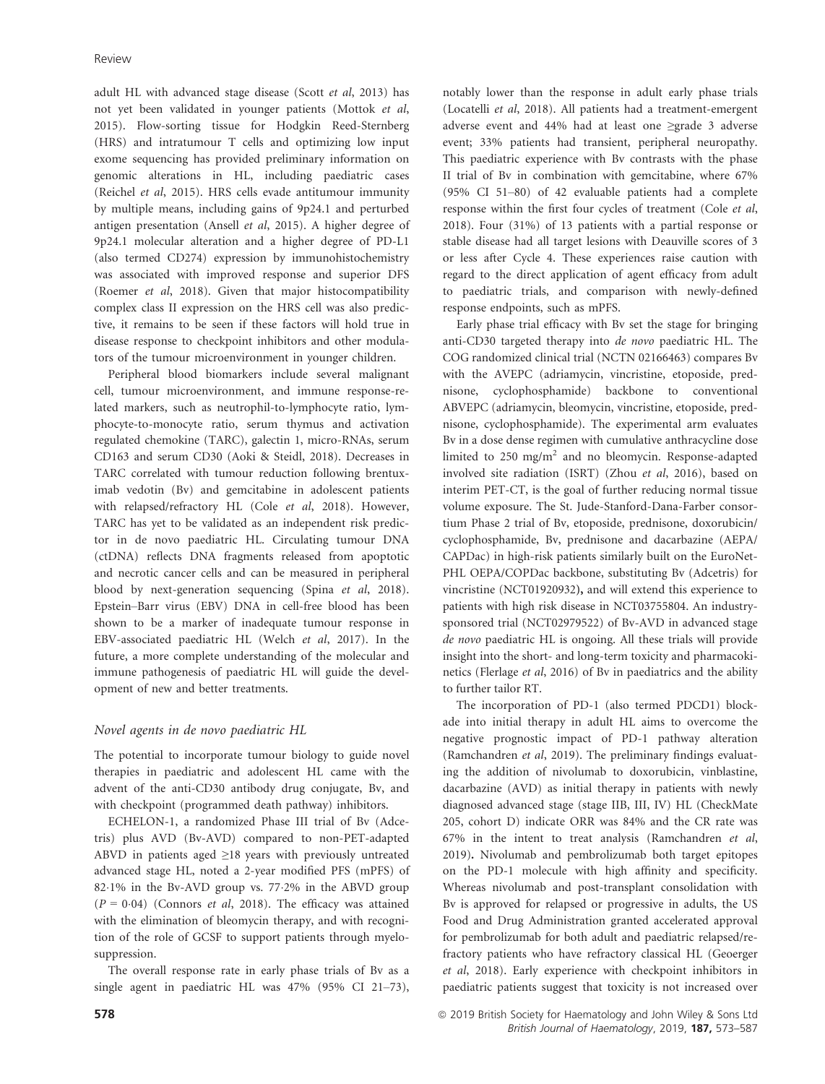adult HL with advanced stage disease (Scott et al, 2013) has not yet been validated in younger patients (Mottok et al, 2015). Flow-sorting tissue for Hodgkin Reed-Sternberg (HRS) and intratumour T cells and optimizing low input exome sequencing has provided preliminary information on genomic alterations in HL, including paediatric cases (Reichel et al, 2015). HRS cells evade antitumour immunity by multiple means, including gains of 9p24.1 and perturbed antigen presentation (Ansell et al, 2015). A higher degree of 9p24.1 molecular alteration and a higher degree of PD-L1 (also termed CD274) expression by immunohistochemistry was associated with improved response and superior DFS (Roemer et al, 2018). Given that major histocompatibility complex class II expression on the HRS cell was also predictive, it remains to be seen if these factors will hold true in disease response to checkpoint inhibitors and other modulators of the tumour microenvironment in younger children.

Peripheral blood biomarkers include several malignant cell, tumour microenvironment, and immune response-related markers, such as neutrophil-to-lymphocyte ratio, lymphocyte-to-monocyte ratio, serum thymus and activation regulated chemokine (TARC), galectin 1, micro-RNAs, serum CD163 and serum CD30 (Aoki & Steidl, 2018). Decreases in TARC correlated with tumour reduction following brentuximab vedotin (Bv) and gemcitabine in adolescent patients with relapsed/refractory HL (Cole et al, 2018). However, TARC has yet to be validated as an independent risk predictor in de novo paediatric HL. Circulating tumour DNA (ctDNA) reflects DNA fragments released from apoptotic and necrotic cancer cells and can be measured in peripheral blood by next-generation sequencing (Spina et al, 2018). Epstein–Barr virus (EBV) DNA in cell-free blood has been shown to be a marker of inadequate tumour response in EBV-associated paediatric HL (Welch et al, 2017). In the future, a more complete understanding of the molecular and immune pathogenesis of paediatric HL will guide the development of new and better treatments.

## Novel agents in de novo paediatric HL

The potential to incorporate tumour biology to guide novel therapies in paediatric and adolescent HL came with the advent of the anti-CD30 antibody drug conjugate, Bv, and with checkpoint (programmed death pathway) inhibitors.

ECHELON-1, a randomized Phase III trial of Bv (Adcetris) plus AVD (Bv-AVD) compared to non-PET-adapted ABVD in patients aged ≥18 years with previously untreated advanced stage HL, noted a 2-year modified PFS (mPFS) of 821% in the Bv-AVD group vs. 772% in the ABVD group  $(P = 0.04)$  (Connors *et al*, 2018). The efficacy was attained with the elimination of bleomycin therapy, and with recognition of the role of GCSF to support patients through myelosuppression.

The overall response rate in early phase trials of Bv as a single agent in paediatric HL was 47% (95% CI 21–73), notably lower than the response in adult early phase trials (Locatelli et al, 2018). All patients had a treatment-emergent adverse event and 44% had at least one ≥grade 3 adverse event; 33% patients had transient, peripheral neuropathy. This paediatric experience with Bv contrasts with the phase II trial of Bv in combination with gemcitabine, where 67% (95% CI 51–80) of 42 evaluable patients had a complete response within the first four cycles of treatment (Cole et al, 2018). Four (31%) of 13 patients with a partial response or stable disease had all target lesions with Deauville scores of 3 or less after Cycle 4. These experiences raise caution with regard to the direct application of agent efficacy from adult to paediatric trials, and comparison with newly-defined response endpoints, such as mPFS.

Early phase trial efficacy with Bv set the stage for bringing anti-CD30 targeted therapy into de novo paediatric HL. The COG randomized clinical trial (NCTN 02166463) compares Bv with the AVEPC (adriamycin, vincristine, etoposide, prednisone, cyclophosphamide) backbone to conventional ABVEPC (adriamycin, bleomycin, vincristine, etoposide, prednisone, cyclophosphamide). The experimental arm evaluates Bv in a dose dense regimen with cumulative anthracycline dose limited to 250 mg/m<sup>2</sup> and no bleomycin. Response-adapted involved site radiation (ISRT) (Zhou et al, 2016), based on interim PET-CT, is the goal of further reducing normal tissue volume exposure. The St. Jude-Stanford-Dana-Farber consortium Phase 2 trial of Bv, etoposide, prednisone, doxorubicin/ cyclophosphamide, Bv, prednisone and dacarbazine (AEPA/ CAPDac) in high-risk patients similarly built on the EuroNet-PHL OEPA/COPDac backbone, substituting Bv (Adcetris) for vincristine (NCT01920932), and will extend this experience to patients with high risk disease in NCT03755804. An industrysponsored trial (NCT02979522) of Bv-AVD in advanced stage de novo paediatric HL is ongoing. All these trials will provide insight into the short- and long-term toxicity and pharmacokinetics (Flerlage et al, 2016) of Bv in paediatrics and the ability to further tailor RT.

The incorporation of PD-1 (also termed PDCD1) blockade into initial therapy in adult HL aims to overcome the negative prognostic impact of PD-1 pathway alteration (Ramchandren et al, 2019). The preliminary findings evaluating the addition of nivolumab to doxorubicin, vinblastine, dacarbazine (AVD) as initial therapy in patients with newly diagnosed advanced stage (stage IIB, III, IV) HL (CheckMate 205, cohort D) indicate ORR was 84% and the CR rate was 67% in the intent to treat analysis (Ramchandren et al, 2019). Nivolumab and pembrolizumab both target epitopes on the PD-1 molecule with high affinity and specificity. Whereas nivolumab and post-transplant consolidation with Bv is approved for relapsed or progressive in adults, the US Food and Drug Administration granted accelerated approval for pembrolizumab for both adult and paediatric relapsed/refractory patients who have refractory classical HL (Geoerger et al, 2018). Early experience with checkpoint inhibitors in paediatric patients suggest that toxicity is not increased over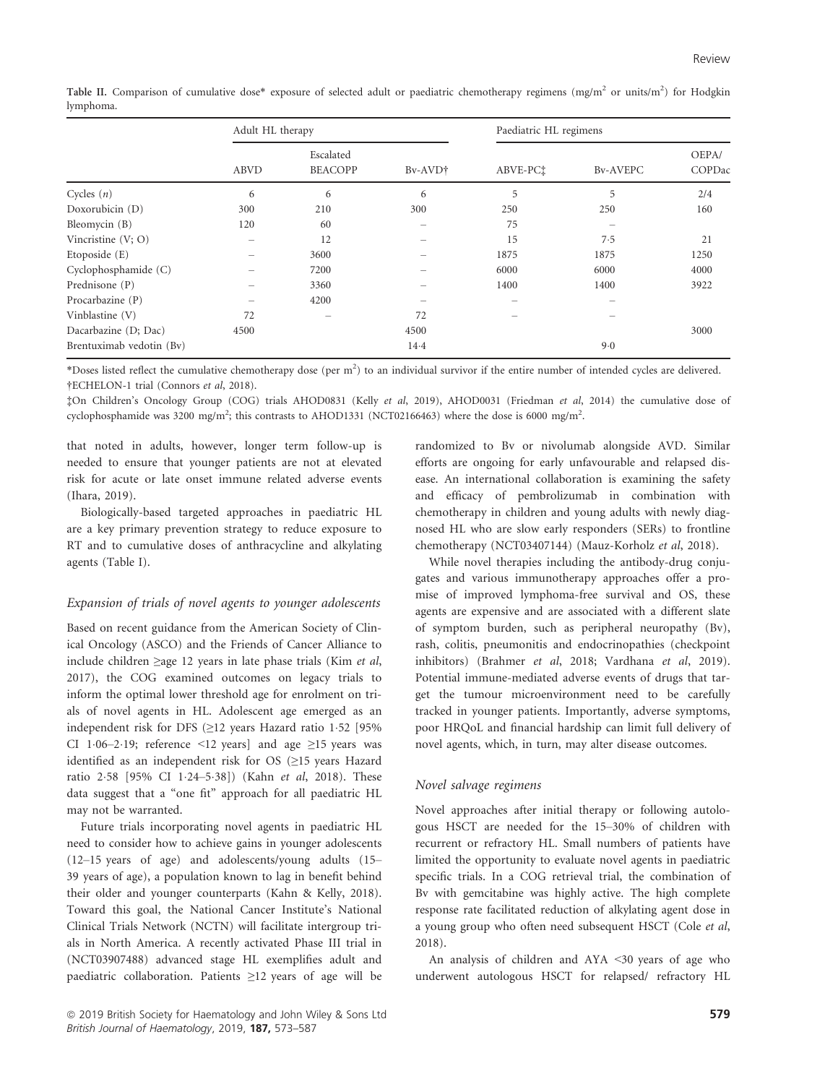|                          | Adult HL therapy |                             |         | Paediatric HL regimens |                 |                 |  |
|--------------------------|------------------|-----------------------------|---------|------------------------|-----------------|-----------------|--|
|                          | <b>ABVD</b>      | Escalated<br><b>BEACOPP</b> | Bv-AVD† | ABVE-PCt               | <b>By-AVEPC</b> | OEPA/<br>COPDac |  |
| Cycles $(n)$             | 6                | 6                           | 6       | 5                      | 5               | 2/4             |  |
| Doxorubicin (D)          | 300              | 210                         | 300     | 250                    | 250             | 160             |  |
| Bleomycin (B)            | 120              | 60                          |         | 75                     |                 |                 |  |
| Vincristine $(V; O)$     |                  | 12                          |         | 15                     | 7.5             | 21              |  |
| Etoposide (E)            |                  | 3600                        |         | 1875                   | 1875            | 1250            |  |
| Cyclophosphamide (C)     |                  | 7200                        |         | 6000                   | 6000            | 4000            |  |
| Prednisone (P)           |                  | 3360                        |         | 1400                   | 1400            | 3922            |  |
| Procarbazine (P)         |                  | 4200                        |         |                        |                 |                 |  |
| Vinblastine (V)          | 72               | $\overline{\phantom{a}}$    | 72      |                        |                 |                 |  |
| Dacarbazine (D; Dac)     | 4500             |                             | 4500    |                        |                 | 3000            |  |
| Brentuximab vedotin (Bv) |                  |                             | 14.4    |                        | 9.0             |                 |  |

Table II. Comparison of cumulative dose\* exposure of selected adult or paediatric chemotherapy regimens (mg/m<sup>2</sup> or units/m<sup>2</sup>) for Hodgkin lymphoma.

\*Doses listed reflect the cumulative chemotherapy dose (per m<sup>2</sup>) to an individual survivor if the entire number of intended cycles are delivered. †ECHELON-1 trial (Connors et al, 2018).

‡On Children's Oncology Group (COG) trials AHOD0831 (Kelly et al, 2019), AHOD0031 (Friedman et al, 2014) the cumulative dose of cyclophosphamide was 3200 mg/m<sup>2</sup>; this contrasts to AHOD1331 (NCT02166463) where the dose is 6000 mg/m<sup>2</sup>.

that noted in adults, however, longer term follow-up is needed to ensure that younger patients are not at elevated risk for acute or late onset immune related adverse events (Ihara, 2019).

Biologically-based targeted approaches in paediatric HL are a key primary prevention strategy to reduce exposure to RT and to cumulative doses of anthracycline and alkylating agents (Table I).

# Expansion of trials of novel agents to younger adolescents

Based on recent guidance from the American Society of Clinical Oncology (ASCO) and the Friends of Cancer Alliance to include children ≥age 12 years in late phase trials (Kim et al, 2017), the COG examined outcomes on legacy trials to inform the optimal lower threshold age for enrolment on trials of novel agents in HL. Adolescent age emerged as an independent risk for DFS ( $\geq$ 12 years Hazard ratio 1.52 [95% CI 106–2019; reference <12 years] and age  $\geq$ 15 years was identified as an independent risk for OS (≥15 years Hazard ratio 258 [95% CI 124–538]) (Kahn et al, 2018). These data suggest that a "one fit" approach for all paediatric HL may not be warranted.

Future trials incorporating novel agents in paediatric HL need to consider how to achieve gains in younger adolescents (12–15 years of age) and adolescents/young adults (15– 39 years of age), a population known to lag in benefit behind their older and younger counterparts (Kahn & Kelly, 2018). Toward this goal, the National Cancer Institute's National Clinical Trials Network (NCTN) will facilitate intergroup trials in North America. A recently activated Phase III trial in (NCT03907488) advanced stage HL exemplifies adult and paediatric collaboration. Patients ≥12 years of age will be

randomized to Bv or nivolumab alongside AVD. Similar efforts are ongoing for early unfavourable and relapsed disease. An international collaboration is examining the safety and efficacy of pembrolizumab in combination with chemotherapy in children and young adults with newly diagnosed HL who are slow early responders (SERs) to frontline chemotherapy (NCT03407144) (Mauz-Korholz et al, 2018).

While novel therapies including the antibody-drug conjugates and various immunotherapy approaches offer a promise of improved lymphoma-free survival and OS, these agents are expensive and are associated with a different slate of symptom burden, such as peripheral neuropathy (Bv), rash, colitis, pneumonitis and endocrinopathies (checkpoint inhibitors) (Brahmer et al, 2018; Vardhana et al, 2019). Potential immune-mediated adverse events of drugs that target the tumour microenvironment need to be carefully tracked in younger patients. Importantly, adverse symptoms, poor HRQoL and financial hardship can limit full delivery of novel agents, which, in turn, may alter disease outcomes.

#### Novel salvage regimens

Novel approaches after initial therapy or following autologous HSCT are needed for the 15–30% of children with recurrent or refractory HL. Small numbers of patients have limited the opportunity to evaluate novel agents in paediatric specific trials. In a COG retrieval trial, the combination of Bv with gemcitabine was highly active. The high complete response rate facilitated reduction of alkylating agent dose in a young group who often need subsequent HSCT (Cole et al, 2018).

An analysis of children and AYA <30 years of age who underwent autologous HSCT for relapsed/ refractory HL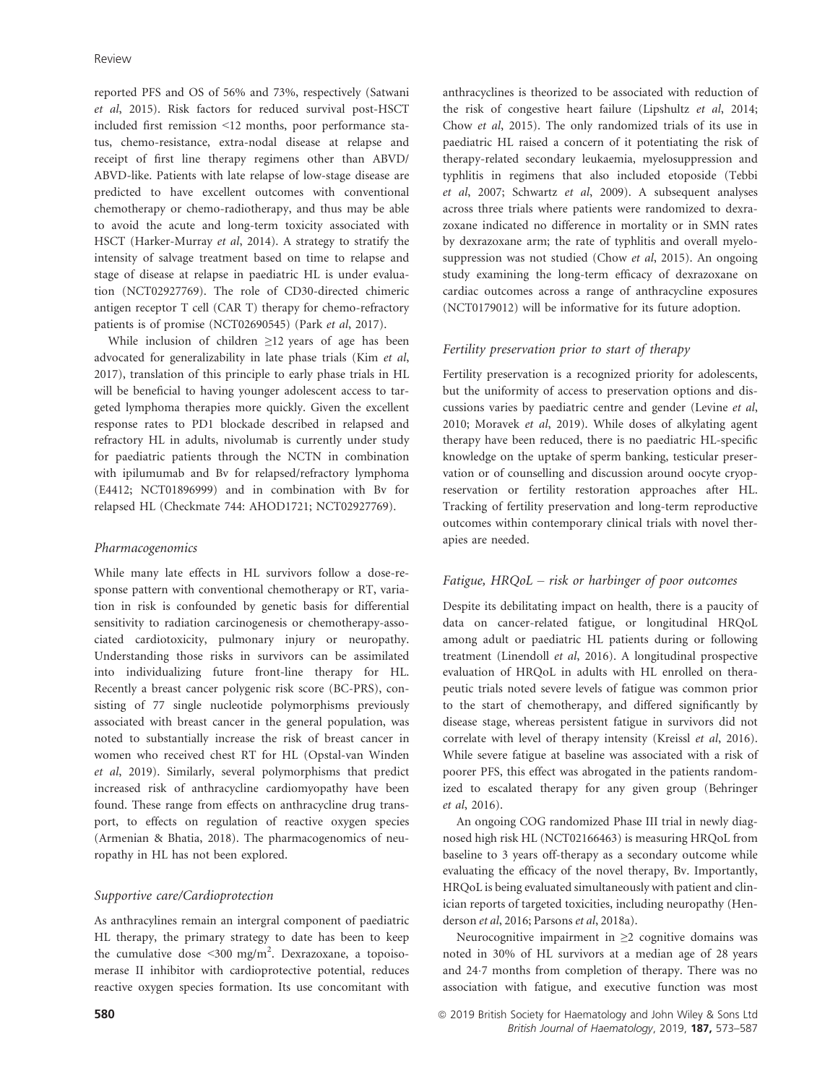reported PFS and OS of 56% and 73%, respectively (Satwani et al, 2015). Risk factors for reduced survival post-HSCT included first remission <12 months, poor performance status, chemo-resistance, extra-nodal disease at relapse and receipt of first line therapy regimens other than ABVD/ ABVD-like. Patients with late relapse of low-stage disease are predicted to have excellent outcomes with conventional chemotherapy or chemo-radiotherapy, and thus may be able to avoid the acute and long-term toxicity associated with HSCT (Harker-Murray et al, 2014). A strategy to stratify the intensity of salvage treatment based on time to relapse and stage of disease at relapse in paediatric HL is under evaluation (NCT02927769). The role of CD30-directed chimeric antigen receptor T cell (CAR T) therapy for chemo-refractory patients is of promise (NCT02690545) (Park et al, 2017).

While inclusion of children ≥12 years of age has been advocated for generalizability in late phase trials (Kim et al, 2017), translation of this principle to early phase trials in HL will be beneficial to having younger adolescent access to targeted lymphoma therapies more quickly. Given the excellent response rates to PD1 blockade described in relapsed and refractory HL in adults, nivolumab is currently under study for paediatric patients through the NCTN in combination with ipilumumab and Bv for relapsed/refractory lymphoma (E4412; NCT01896999) and in combination with Bv for relapsed HL (Checkmate 744: AHOD1721; NCT02927769).

#### Pharmacogenomics

While many late effects in HL survivors follow a dose-response pattern with conventional chemotherapy or RT, variation in risk is confounded by genetic basis for differential sensitivity to radiation carcinogenesis or chemotherapy-associated cardiotoxicity, pulmonary injury or neuropathy. Understanding those risks in survivors can be assimilated into individualizing future front-line therapy for HL. Recently a breast cancer polygenic risk score (BC-PRS), consisting of 77 single nucleotide polymorphisms previously associated with breast cancer in the general population, was noted to substantially increase the risk of breast cancer in women who received chest RT for HL (Opstal-van Winden et al, 2019). Similarly, several polymorphisms that predict increased risk of anthracycline cardiomyopathy have been found. These range from effects on anthracycline drug transport, to effects on regulation of reactive oxygen species (Armenian & Bhatia, 2018). The pharmacogenomics of neuropathy in HL has not been explored.

#### Supportive care/Cardioprotection

As anthracylines remain an intergral component of paediatric HL therapy, the primary strategy to date has been to keep the cumulative dose  $\leq 300 \text{ mg/m}^2$ . Dexrazoxane, a topoisomerase II inhibitor with cardioprotective potential, reduces reactive oxygen species formation. Its use concomitant with anthracyclines is theorized to be associated with reduction of the risk of congestive heart failure (Lipshultz et al, 2014; Chow et al, 2015). The only randomized trials of its use in paediatric HL raised a concern of it potentiating the risk of therapy-related secondary leukaemia, myelosuppression and typhlitis in regimens that also included etoposide (Tebbi et al, 2007; Schwartz et al, 2009). A subsequent analyses across three trials where patients were randomized to dexrazoxane indicated no difference in mortality or in SMN rates by dexrazoxane arm; the rate of typhlitis and overall myelosuppression was not studied (Chow et al, 2015). An ongoing study examining the long-term efficacy of dexrazoxane on cardiac outcomes across a range of anthracycline exposures (NCT0179012) will be informative for its future adoption.

#### Fertility preservation prior to start of therapy

Fertility preservation is a recognized priority for adolescents, but the uniformity of access to preservation options and discussions varies by paediatric centre and gender (Levine et al, 2010; Moravek et al, 2019). While doses of alkylating agent therapy have been reduced, there is no paediatric HL-specific knowledge on the uptake of sperm banking, testicular preservation or of counselling and discussion around oocyte cryopreservation or fertility restoration approaches after HL. Tracking of fertility preservation and long-term reproductive outcomes within contemporary clinical trials with novel therapies are needed.

#### Fatigue, HRQoL – risk or harbinger of poor outcomes

Despite its debilitating impact on health, there is a paucity of data on cancer-related fatigue, or longitudinal HRQoL among adult or paediatric HL patients during or following treatment (Linendoll et al, 2016). A longitudinal prospective evaluation of HRQoL in adults with HL enrolled on therapeutic trials noted severe levels of fatigue was common prior to the start of chemotherapy, and differed significantly by disease stage, whereas persistent fatigue in survivors did not correlate with level of therapy intensity (Kreissl et al, 2016). While severe fatigue at baseline was associated with a risk of poorer PFS, this effect was abrogated in the patients randomized to escalated therapy for any given group (Behringer et al, 2016).

An ongoing COG randomized Phase III trial in newly diagnosed high risk HL (NCT02166463) is measuring HRQoL from baseline to 3 years off-therapy as a secondary outcome while evaluating the efficacy of the novel therapy, Bv. Importantly, HRQoL is being evaluated simultaneously with patient and clinician reports of targeted toxicities, including neuropathy (Henderson et al, 2016; Parsons et al, 2018a).

Neurocognitive impairment in ≥2 cognitive domains was noted in 30% of HL survivors at a median age of 28 years and 247 months from completion of therapy. There was no association with fatigue, and executive function was most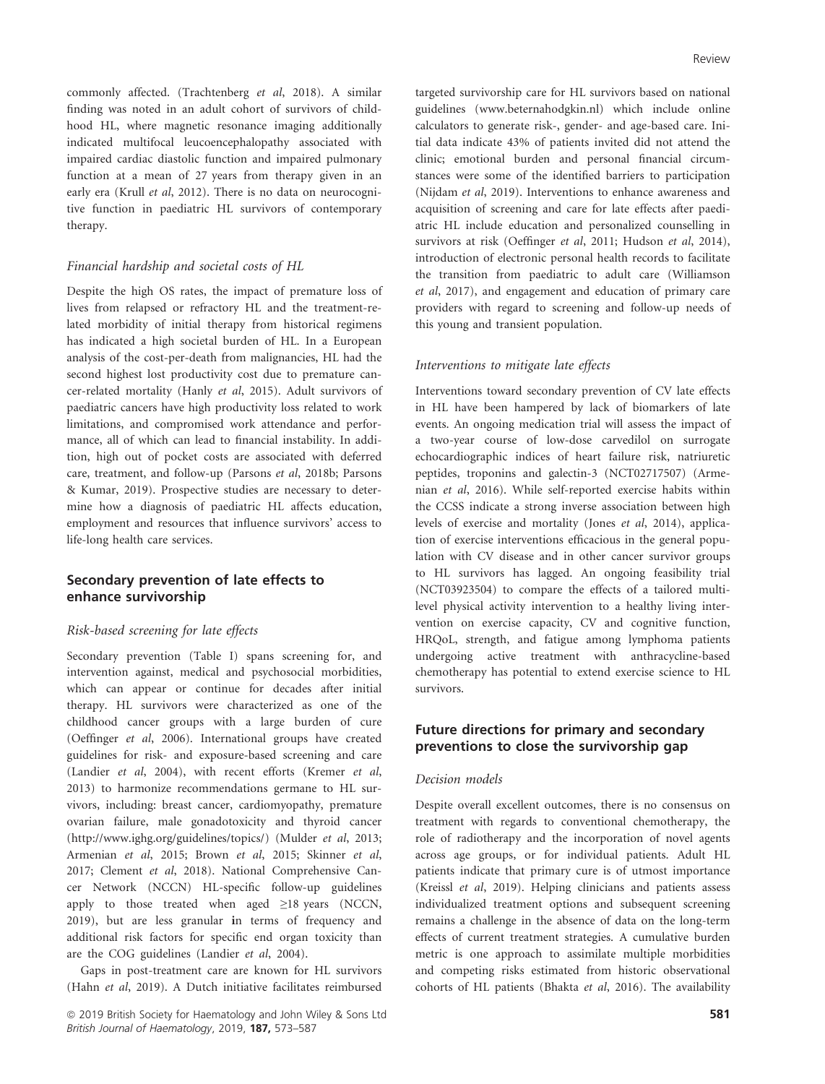commonly affected. (Trachtenberg et al, 2018). A similar finding was noted in an adult cohort of survivors of childhood HL, where magnetic resonance imaging additionally indicated multifocal leucoencephalopathy associated with impaired cardiac diastolic function and impaired pulmonary function at a mean of 27 years from therapy given in an early era (Krull et al, 2012). There is no data on neurocognitive function in paediatric HL survivors of contemporary therapy.

#### Financial hardship and societal costs of HL

Despite the high OS rates, the impact of premature loss of lives from relapsed or refractory HL and the treatment-related morbidity of initial therapy from historical regimens has indicated a high societal burden of HL. In a European analysis of the cost-per-death from malignancies, HL had the second highest lost productivity cost due to premature cancer-related mortality (Hanly et al, 2015). Adult survivors of paediatric cancers have high productivity loss related to work limitations, and compromised work attendance and performance, all of which can lead to financial instability. In addition, high out of pocket costs are associated with deferred care, treatment, and follow-up (Parsons et al, 2018b; Parsons & Kumar, 2019). Prospective studies are necessary to determine how a diagnosis of paediatric HL affects education, employment and resources that influence survivors' access to life-long health care services.

# Secondary prevention of late effects to enhance survivorship

## Risk-based screening for late effects

Secondary prevention (Table I) spans screening for, and intervention against, medical and psychosocial morbidities, which can appear or continue for decades after initial therapy. HL survivors were characterized as one of the childhood cancer groups with a large burden of cure (Oeffinger et al, 2006). International groups have created guidelines for risk- and exposure-based screening and care (Landier et al, 2004), with recent efforts (Kremer et al, 2013) to harmonize recommendations germane to HL survivors, including: breast cancer, cardiomyopathy, premature ovarian failure, male gonadotoxicity and thyroid cancer (<http://www.ighg.org/guidelines/topics/>) (Mulder et al, 2013; Armenian et al, 2015; Brown et al, 2015; Skinner et al, 2017; Clement et al, 2018). National Comprehensive Cancer Network (NCCN) HL-specific follow-up guidelines apply to those treated when aged  $\geq$ 18 years (NCCN, 2019), but are less granular in terms of frequency and additional risk factors for specific end organ toxicity than are the COG guidelines (Landier et al, 2004).

Gaps in post-treatment care are known for HL survivors (Hahn et al, 2019). A Dutch initiative facilitates reimbursed

 $\circledcirc$  2019 British Society for Haematology and John Wiley & Sons Ltd 581 British Journal of Haematology, 2019, 187, 573–587

targeted survivorship care for HL survivors based on national guidelines [\(www.beternahodgkin.nl\)](http://www.beternahodgkin.nl) which include online calculators to generate risk-, gender- and age-based care. Initial data indicate 43% of patients invited did not attend the clinic; emotional burden and personal financial circumstances were some of the identified barriers to participation (Nijdam et al, 2019). Interventions to enhance awareness and acquisition of screening and care for late effects after paediatric HL include education and personalized counselling in survivors at risk (Oeffinger et al, 2011; Hudson et al, 2014), introduction of electronic personal health records to facilitate the transition from paediatric to adult care (Williamson et al, 2017), and engagement and education of primary care providers with regard to screening and follow-up needs of this young and transient population.

#### Interventions to mitigate late effects

Interventions toward secondary prevention of CV late effects in HL have been hampered by lack of biomarkers of late events. An ongoing medication trial will assess the impact of a two-year course of low-dose carvedilol on surrogate echocardiographic indices of heart failure risk, natriuretic peptides, troponins and galectin-3 (NCT02717507) (Armenian et al, 2016). While self-reported exercise habits within the CCSS indicate a strong inverse association between high levels of exercise and mortality (Jones et al, 2014), application of exercise interventions efficacious in the general population with CV disease and in other cancer survivor groups to HL survivors has lagged. An ongoing feasibility trial (NCT03923504) to compare the effects of a tailored multilevel physical activity intervention to a healthy living intervention on exercise capacity, CV and cognitive function, HRQoL, strength, and fatigue among lymphoma patients undergoing active treatment with anthracycline-based chemotherapy has potential to extend exercise science to HL survivors.

# Future directions for primary and secondary preventions to close the survivorship gap

## Decision models

Despite overall excellent outcomes, there is no consensus on treatment with regards to conventional chemotherapy, the role of radiotherapy and the incorporation of novel agents across age groups, or for individual patients. Adult HL patients indicate that primary cure is of utmost importance (Kreissl et al, 2019). Helping clinicians and patients assess individualized treatment options and subsequent screening remains a challenge in the absence of data on the long-term effects of current treatment strategies. A cumulative burden metric is one approach to assimilate multiple morbidities and competing risks estimated from historic observational cohorts of HL patients (Bhakta et al, 2016). The availability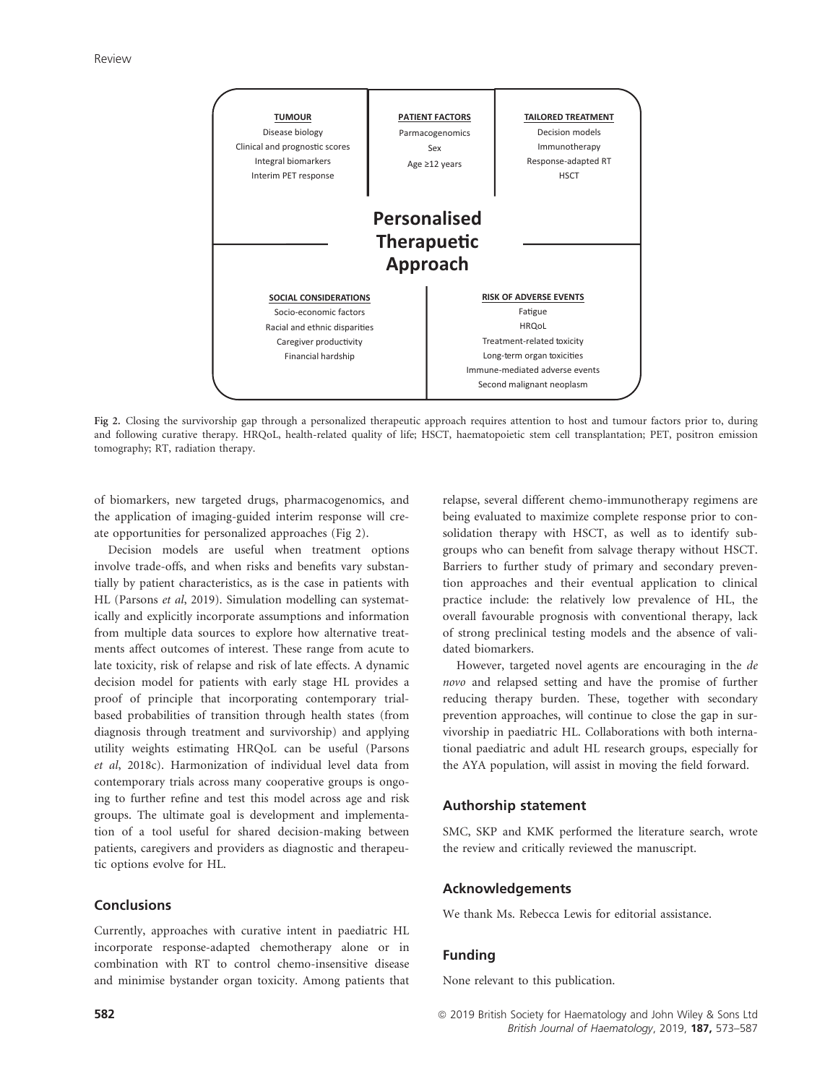

Fig 2. Closing the survivorship gap through a personalized therapeutic approach requires attention to host and tumour factors prior to, during and following curative therapy. HRQoL, health-related quality of life; HSCT, haematopoietic stem cell transplantation; PET, positron emission tomography; RT, radiation therapy.

of biomarkers, new targeted drugs, pharmacogenomics, and the application of imaging-guided interim response will create opportunities for personalized approaches (Fig 2).

Decision models are useful when treatment options involve trade-offs, and when risks and benefits vary substantially by patient characteristics, as is the case in patients with HL (Parsons et al, 2019). Simulation modelling can systematically and explicitly incorporate assumptions and information from multiple data sources to explore how alternative treatments affect outcomes of interest. These range from acute to late toxicity, risk of relapse and risk of late effects. A dynamic decision model for patients with early stage HL provides a proof of principle that incorporating contemporary trialbased probabilities of transition through health states (from diagnosis through treatment and survivorship) and applying utility weights estimating HRQoL can be useful (Parsons et al, 2018c). Harmonization of individual level data from contemporary trials across many cooperative groups is ongoing to further refine and test this model across age and risk groups. The ultimate goal is development and implementation of a tool useful for shared decision-making between patients, caregivers and providers as diagnostic and therapeutic options evolve for HL.

# Conclusions

Currently, approaches with curative intent in paediatric HL incorporate response-adapted chemotherapy alone or in combination with RT to control chemo-insensitive disease and minimise bystander organ toxicity. Among patients that

relapse, several different chemo-immunotherapy regimens are being evaluated to maximize complete response prior to consolidation therapy with HSCT, as well as to identify subgroups who can benefit from salvage therapy without HSCT. Barriers to further study of primary and secondary prevention approaches and their eventual application to clinical practice include: the relatively low prevalence of HL, the overall favourable prognosis with conventional therapy, lack of strong preclinical testing models and the absence of validated biomarkers.

However, targeted novel agents are encouraging in the de novo and relapsed setting and have the promise of further reducing therapy burden. These, together with secondary prevention approaches, will continue to close the gap in survivorship in paediatric HL. Collaborations with both international paediatric and adult HL research groups, especially for the AYA population, will assist in moving the field forward.

## Authorship statement

SMC, SKP and KMK performed the literature search, wrote the review and critically reviewed the manuscript.

## Acknowledgements

We thank Ms. Rebecca Lewis for editorial assistance.

## Funding

None relevant to this publication.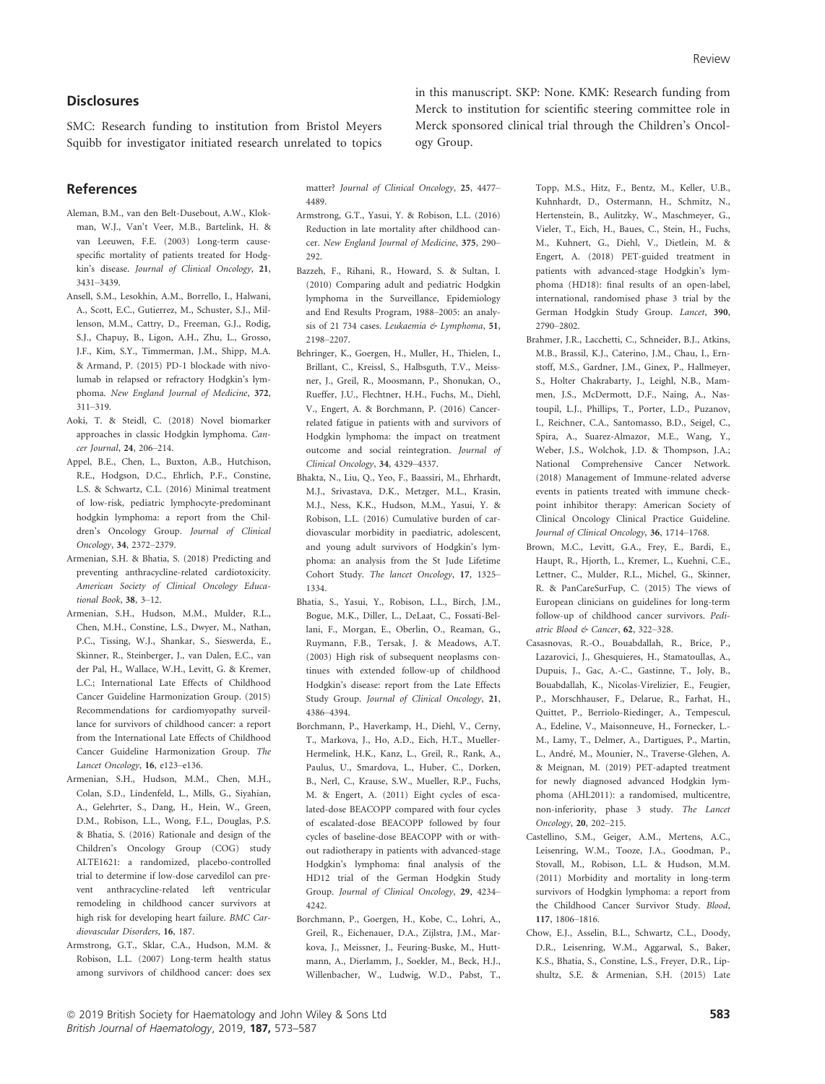## **Disclosures**

SMC: Research funding to institution from Bristol Meyers Squibb for investigator initiated research unrelated to topics

References

- Aleman, B.M., van den Belt-Dusebout, A.W., Klokman, W.J., Van't Veer, M.B., Bartelink, H. & van Leeuwen, F.E. (2003) Long-term causespecific mortality of patients treated for Hodgkin's disease. Journal of Clinical Oncology, 21, 3431–3439.
- Ansell, S.M., Lesokhin, A.M., Borrello, I., Halwani, A., Scott, E.C., Gutierrez, M., Schuster, S.J., Millenson, M.M., Cattry, D., Freeman, G.J., Rodig, S.J., Chapuy, B., Ligon, A.H., Zhu, L., Grosso, J.F., Kim, S.Y., Timmerman, J.M., Shipp, M.A. & Armand, P. (2015) PD-1 blockade with nivolumab in relapsed or refractory Hodgkin's lymphoma. New England Journal of Medicine, 372, 311–319.
- Aoki, T. & Steidl, C. (2018) Novel biomarker approaches in classic Hodgkin lymphoma. Cancer Journal, 24, 206–214.
- Appel, B.E., Chen, L., Buxton, A.B., Hutchison, R.E., Hodgson, D.C., Ehrlich, P.F., Constine, L.S. & Schwartz, C.L. (2016) Minimal treatment of low-risk, pediatric lymphocyte-predominant hodgkin lymphoma: a report from the Children's Oncology Group. Journal of Clinical Oncology, 34, 2372–2379.
- Armenian, S.H. & Bhatia, S. (2018) Predicting and preventing anthracycline-related cardiotoxicity. American Society of Clinical Oncology Educational Book, 38, 3–12.
- Armenian, S.H., Hudson, M.M., Mulder, R.L., Chen, M.H., Constine, L.S., Dwyer, M., Nathan, P.C., Tissing, W.J., Shankar, S., Sieswerda, E., Skinner, R., Steinberger, J., van Dalen, E.C., van der Pal, H., Wallace, W.H., Levitt, G. & Kremer, L.C.; International Late Effects of Childhood Cancer Guideline Harmonization Group. (2015) Recommendations for cardiomyopathy surveillance for survivors of childhood cancer: a report from the International Late Effects of Childhood Cancer Guideline Harmonization Group. The Lancet Oncology, 16, e123–e136.
- Armenian, S.H., Hudson, M.M., Chen, M.H., Colan, S.D., Lindenfeld, L., Mills, G., Siyahian, A., Gelehrter, S., Dang, H., Hein, W., Green, D.M., Robison, L.L., Wong, F.L., Douglas, P.S. & Bhatia, S. (2016) Rationale and design of the Children's Oncology Group (COG) study ALTE1621: a randomized, placebo-controlled trial to determine if low-dose carvedilol can prevent anthracycline-related left ventricular remodeling in childhood cancer survivors at high risk for developing heart failure. BMC Cardiovascular Disorders, 16, 187.
- Armstrong, G.T., Sklar, C.A., Hudson, M.M. & Robison, L.L. (2007) Long-term health status among survivors of childhood cancer: does sex

in this manuscript. SKP: None. KMK: Research funding from Merck to institution for scientific steering committee role in Merck sponsored clinical trial through the Children's Oncology Group.

matter? Journal of Clinical Oncology, 25, 4477– 4489.

- Armstrong, G.T., Yasui, Y. & Robison, L.L. (2016) Reduction in late mortality after childhood cancer. New England Journal of Medicine, 375, 290– 292.
- Bazzeh, F., Rihani, R., Howard, S. & Sultan, I. (2010) Comparing adult and pediatric Hodgkin lymphoma in the Surveillance, Epidemiology and End Results Program, 1988–2005: an analysis of 21 734 cases. Leukaemia & Lymphoma, 51, 2198–2207.
- Behringer, K., Goergen, H., Muller, H., Thielen, I., Brillant, C., Kreissl, S., Halbsguth, T.V., Meissner, J., Greil, R., Moosmann, P., Shonukan, O., Rueffer, J.U., Flechtner, H.H., Fuchs, M., Diehl, V., Engert, A. & Borchmann, P. (2016) Cancerrelated fatigue in patients with and survivors of Hodgkin lymphoma: the impact on treatment outcome and social reintegration. Journal of Clinical Oncology, 34, 4329–4337.
- Bhakta, N., Liu, Q., Yeo, F., Baassiri, M., Ehrhardt, M.J., Srivastava, D.K., Metzger, M.L., Krasin, M.J., Ness, K.K., Hudson, M.M., Yasui, Y. & Robison, L.L. (2016) Cumulative burden of cardiovascular morbidity in paediatric, adolescent, and young adult survivors of Hodgkin's lymphoma: an analysis from the St Jude Lifetime Cohort Study. The lancet Oncology, 17, 1325– 1334.
- Bhatia, S., Yasui, Y., Robison, L.L., Birch, J.M., Bogue, M.K., Diller, L., DeLaat, C., Fossati-Bellani, F., Morgan, E., Oberlin, O., Reaman, G., Ruymann, F.B., Tersak, J. & Meadows, A.T. (2003) High risk of subsequent neoplasms continues with extended follow-up of childhood Hodgkin's disease: report from the Late Effects Study Group. Journal of Clinical Oncology, 21, 4386–4394.
- Borchmann, P., Haverkamp, H., Diehl, V., Cerny, T., Markova, J., Ho, A.D., Eich, H.T., Mueller-Hermelink, H.K., Kanz, L., Greil, R., Rank, A., Paulus, U., Smardova, L., Huber, C., Dorken, B., Nerl, C., Krause, S.W., Mueller, R.P., Fuchs, M. & Engert, A. (2011) Eight cycles of escalated-dose BEACOPP compared with four cycles of escalated-dose BEACOPP followed by four cycles of baseline-dose BEACOPP with or without radiotherapy in patients with advanced-stage Hodgkin's lymphoma: final analysis of the HD12 trial of the German Hodgkin Study Group. Journal of Clinical Oncology, 29, 4234– 4242.
- Borchmann, P., Goergen, H., Kobe, C., Lohri, A., Greil, R., Eichenauer, D.A., Zijlstra, J.M., Markova, J., Meissner, J., Feuring-Buske, M., Huttmann, A., Dierlamm, J., Soekler, M., Beck, H.J., Willenbacher, W., Ludwig, W.D., Pabst, T.,

Topp, M.S., Hitz, F., Bentz, M., Keller, U.B., Kuhnhardt, D., Ostermann, H., Schmitz, N., Hertenstein, B., Aulitzky, W., Maschmeyer, G., Vieler, T., Eich, H., Baues, C., Stein, H., Fuchs, M., Kuhnert, G., Diehl, V., Dietlein, M. & Engert, A. (2018) PET-guided treatment in patients with advanced-stage Hodgkin's lymphoma (HD18): final results of an open-label, international, randomised phase 3 trial by the German Hodgkin Study Group. Lancet, 390, 2790–2802.

- Brahmer, J.R., Lacchetti, C., Schneider, B.J., Atkins, M.B., Brassil, K.J., Caterino, J.M., Chau, I., Ernstoff, M.S., Gardner, J.M., Ginex, P., Hallmeyer, S., Holter Chakrabarty, J., Leighl, N.B., Mammen, J.S., McDermott, D.F., Naing, A., Nastoupil, L.J., Phillips, T., Porter, L.D., Puzanov, I., Reichner, C.A., Santomasso, B.D., Seigel, C., Spira, A., Suarez-Almazor, M.E., Wang, Y., Weber, J.S., Wolchok, J.D. & Thompson, J.A.; National Comprehensive Cancer Network. (2018) Management of Immune-related adverse events in patients treated with immune checkpoint inhibitor therapy: American Society of Clinical Oncology Clinical Practice Guideline. Journal of Clinical Oncology, 36, 1714–1768.
- Brown, M.C., Levitt, G.A., Frey, E., Bardi, E., Haupt, R., Hjorth, L., Kremer, L., Kuehni, C.E., Lettner, C., Mulder, R.L., Michel, G., Skinner, R. & PanCareSurFup, C. (2015) The views of European clinicians on guidelines for long-term follow-up of childhood cancer survivors. Pediatric Blood & Cancer, 62, 322–328.
- Casasnovas, R.-O., Bouabdallah, R., Brice, P., Lazarovici, J., Ghesquieres, H., Stamatoullas, A., Dupuis, J., Gac, A.-C., Gastinne, T., Joly, B., Bouabdallah, K., Nicolas-Virelizier, E., Feugier, P., Morschhauser, F., Delarue, R., Farhat, H., Quittet, P., Berriolo-Riedinger, A., Tempescul, A., Edeline, V., Maisonneuve, H., Fornecker, L.- M., Lamy, T., Delmer, A., Dartigues, P., Martin, L., André, M., Mounier, N., Traverse-Glehen, A. & Meignan, M. (2019) PET-adapted treatment for newly diagnosed advanced Hodgkin lymphoma (AHL2011): a randomised, multicentre, non-inferiority, phase 3 study. The Lancet Oncology, 20, 202–215.
- Castellino, S.M., Geiger, A.M., Mertens, A.C., Leisenring, W.M., Tooze, J.A., Goodman, P., Stovall, M., Robison, L.L. & Hudson, M.M. (2011) Morbidity and mortality in long-term survivors of Hodgkin lymphoma: a report from the Childhood Cancer Survivor Study. Blood, 117, 1806–1816.
- Chow, E.J., Asselin, B.L., Schwartz, C.L., Doody, D.R., Leisenring, W.M., Aggarwal, S., Baker, K.S., Bhatia, S., Constine, L.S., Freyer, D.R., Lipshultz, S.E. & Armenian, S.H. (2015) Late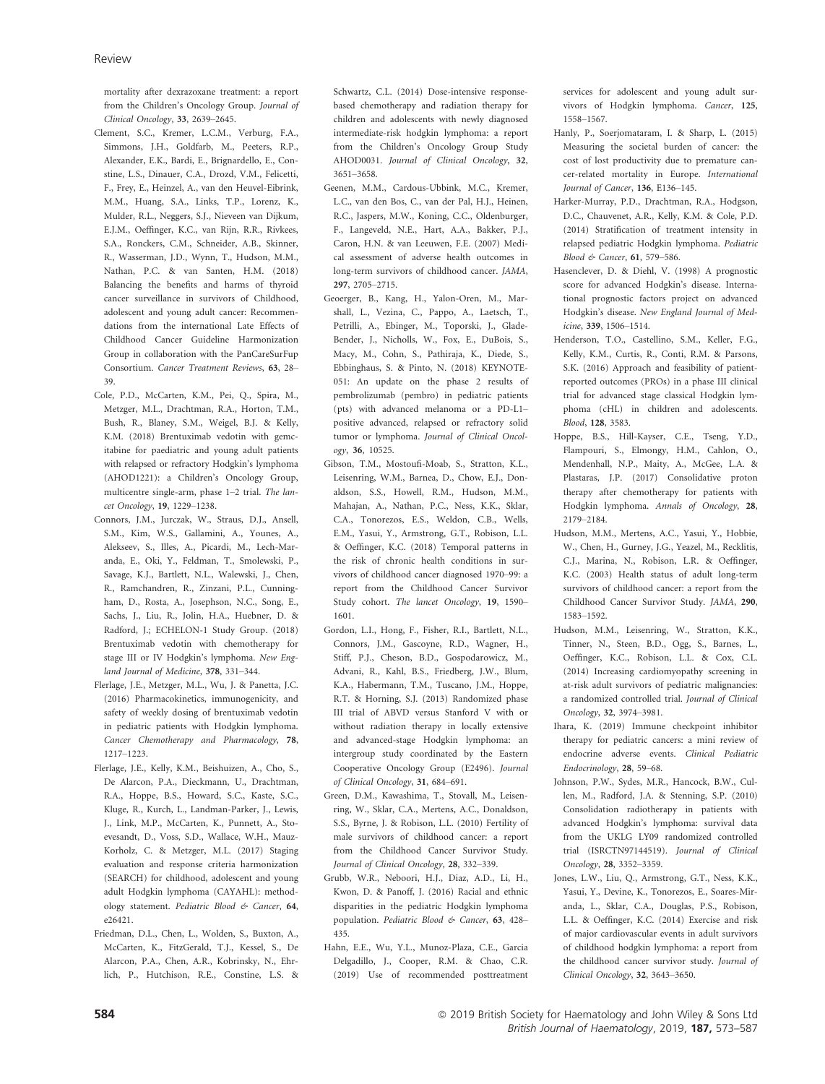mortality after dexrazoxane treatment: a report from the Children's Oncology Group. Journal of Clinical Oncology, 33, 2639–2645.

- Clement, S.C., Kremer, L.C.M., Verburg, F.A., Simmons, J.H., Goldfarb, M., Peeters, R.P., Alexander, E.K., Bardi, E., Brignardello, E., Constine, L.S., Dinauer, C.A., Drozd, V.M., Felicetti, F., Frey, E., Heinzel, A., van den Heuvel-Eibrink, M.M., Huang, S.A., Links, T.P., Lorenz, K., Mulder, R.L., Neggers, S.J., Nieveen van Dijkum, E.J.M., Oeffinger, K.C., van Rijn, R.R., Rivkees, S.A., Ronckers, C.M., Schneider, A.B., Skinner, R., Wasserman, J.D., Wynn, T., Hudson, M.M., Nathan, P.C. & van Santen, H.M. (2018) Balancing the benefits and harms of thyroid cancer surveillance in survivors of Childhood, adolescent and young adult cancer: Recommendations from the international Late Effects of Childhood Cancer Guideline Harmonization Group in collaboration with the PanCareSurFup Consortium. Cancer Treatment Reviews, 63, 28– 39.
- Cole, P.D., McCarten, K.M., Pei, Q., Spira, M., Metzger, M.L., Drachtman, R.A., Horton, T.M., Bush, R., Blaney, S.M., Weigel, B.J. & Kelly, K.M. (2018) Brentuximab vedotin with gemcitabine for paediatric and young adult patients with relapsed or refractory Hodgkin's lymphoma (AHOD1221): a Children's Oncology Group, multicentre single-arm, phase 1–2 trial. The lancet Oncology, 19, 1229–1238.
- Connors, J.M., Jurczak, W., Straus, D.J., Ansell, S.M., Kim, W.S., Gallamini, A., Younes, A., Alekseev, S., Illes, A., Picardi, M., Lech-Maranda, E., Oki, Y., Feldman, T., Smolewski, P., Savage, K.J., Bartlett, N.L., Walewski, J., Chen, R., Ramchandren, R., Zinzani, P.L., Cunningham, D., Rosta, A., Josephson, N.C., Song, E., Sachs, J., Liu, R., Jolin, H.A., Huebner, D. & Radford, J.; ECHELON-1 Study Group. (2018) Brentuximab vedotin with chemotherapy for stage III or IV Hodgkin's lymphoma. New England Journal of Medicine, 378, 331–344.
- Flerlage, J.E., Metzger, M.L., Wu, J. & Panetta, J.C. (2016) Pharmacokinetics, immunogenicity, and safety of weekly dosing of brentuximab vedotin in pediatric patients with Hodgkin lymphoma. Cancer Chemotherapy and Pharmacology, 78, 1217–1223.
- Flerlage, J.E., Kelly, K.M., Beishuizen, A., Cho, S., De Alarcon, P.A., Dieckmann, U., Drachtman, R.A., Hoppe, B.S., Howard, S.C., Kaste, S.C., Kluge, R., Kurch, L., Landman-Parker, J., Lewis, J., Link, M.P., McCarten, K., Punnett, A., Stoevesandt, D., Voss, S.D., Wallace, W.H., Mauz-Korholz, C. & Metzger, M.L. (2017) Staging evaluation and response criteria harmonization (SEARCH) for childhood, adolescent and young adult Hodgkin lymphoma (CAYAHL): methodology statement. Pediatric Blood & Cancer, 64, e26421.
- Friedman, D.L., Chen, L., Wolden, S., Buxton, A., McCarten, K., FitzGerald, T.J., Kessel, S., De Alarcon, P.A., Chen, A.R., Kobrinsky, N., Ehrlich, P., Hutchison, R.E., Constine, L.S. &

Schwartz, C.L. (2014) Dose-intensive responsebased chemotherapy and radiation therapy for children and adolescents with newly diagnosed intermediate-risk hodgkin lymphoma: a report from the Children's Oncology Group Study AHOD0031. Journal of Clinical Oncology, 32, 3651–3658.

- Geenen, M.M., Cardous-Ubbink, M.C., Kremer, L.C., van den Bos, C., van der Pal, H.J., Heinen, R.C., Jaspers, M.W., Koning, C.C., Oldenburger, F., Langeveld, N.E., Hart, A.A., Bakker, P.J., Caron, H.N. & van Leeuwen, F.E. (2007) Medical assessment of adverse health outcomes in long-term survivors of childhood cancer. JAMA, 297, 2705–2715.
- Geoerger, B., Kang, H., Yalon-Oren, M., Marshall, L., Vezina, C., Pappo, A., Laetsch, T., Petrilli, A., Ebinger, M., Toporski, J., Glade-Bender, J., Nicholls, W., Fox, E., DuBois, S., Macy, M., Cohn, S., Pathiraja, K., Diede, S., Ebbinghaus, S. & Pinto, N. (2018) KEYNOTE-051: An update on the phase 2 results of pembrolizumab (pembro) in pediatric patients (pts) with advanced melanoma or a PD-L1– positive advanced, relapsed or refractory solid tumor or lymphoma. Journal of Clinical Oncology, 36, 10525.
- Gibson, T.M., Mostoufi-Moab, S., Stratton, K.L., Leisenring, W.M., Barnea, D., Chow, E.J., Donaldson, S.S., Howell, R.M., Hudson, M.M., Mahajan, A., Nathan, P.C., Ness, K.K., Sklar, C.A., Tonorezos, E.S., Weldon, C.B., Wells, E.M., Yasui, Y., Armstrong, G.T., Robison, L.L. & Oeffinger, K.C. (2018) Temporal patterns in the risk of chronic health conditions in survivors of childhood cancer diagnosed 1970–99: a report from the Childhood Cancer Survivor Study cohort. The lancet Oncology, 19, 1590– 1601.
- Gordon, L.I., Hong, F., Fisher, R.I., Bartlett, N.L., Connors, J.M., Gascoyne, R.D., Wagner, H., Stiff, P.J., Cheson, B.D., Gospodarowicz, M., Advani, R., Kahl, B.S., Friedberg, J.W., Blum, K.A., Habermann, T.M., Tuscano, J.M., Hoppe, R.T. & Horning, S.J. (2013) Randomized phase III trial of ABVD versus Stanford V with or without radiation therapy in locally extensive and advanced-stage Hodgkin lymphoma: an intergroup study coordinated by the Eastern Cooperative Oncology Group (E2496). Journal of Clinical Oncology, 31, 684–691.
- Green, D.M., Kawashima, T., Stovall, M., Leisenring, W., Sklar, C.A., Mertens, A.C., Donaldson, S.S., Byrne, J. & Robison, L.L. (2010) Fertility of male survivors of childhood cancer: a report from the Childhood Cancer Survivor Study. Journal of Clinical Oncology, 28, 332–339.
- Grubb, W.R., Neboori, H.J., Diaz, A.D., Li, H., Kwon, D. & Panoff, J. (2016) Racial and ethnic disparities in the pediatric Hodgkin lymphoma population. Pediatric Blood & Cancer, 63, 428-435.
- Hahn, E.E., Wu, Y.L., Munoz-Plaza, C.E., Garcia Delgadillo, J., Cooper, R.M. & Chao, C.R. (2019) Use of recommended posttreatment

services for adolescent and young adult survivors of Hodgkin lymphoma. Cancer, 125, 1558–1567.

- Hanly, P., Soerjomataram, I. & Sharp, L. (2015) Measuring the societal burden of cancer: the cost of lost productivity due to premature cancer-related mortality in Europe. International Journal of Cancer, 136, E136–145.
- Harker-Murray, P.D., Drachtman, R.A., Hodgson, D.C., Chauvenet, A.R., Kelly, K.M. & Cole, P.D. (2014) Stratification of treatment intensity in relapsed pediatric Hodgkin lymphoma. Pediatric Blood & Cancer, 61, 579–586.
- Hasenclever, D. & Diehl, V. (1998) A prognostic score for advanced Hodgkin's disease. International prognostic factors project on advanced Hodgkin's disease. New England Journal of Medicine, 339, 1506–1514.
- Henderson, T.O., Castellino, S.M., Keller, F.G., Kelly, K.M., Curtis, R., Conti, R.M. & Parsons, S.K. (2016) Approach and feasibility of patientreported outcomes (PROs) in a phase III clinical trial for advanced stage classical Hodgkin lymphoma (cHL) in children and adolescents. Blood, 128, 3583.
- Hoppe, B.S., Hill-Kayser, C.E., Tseng, Y.D., Flampouri, S., Elmongy, H.M., Cahlon, O., Mendenhall, N.P., Maity, A., McGee, L.A. & Plastaras, J.P. (2017) Consolidative proton therapy after chemotherapy for patients with Hodgkin lymphoma. Annals of Oncology, 28, 2179–2184.
- Hudson, M.M., Mertens, A.C., Yasui, Y., Hobbie, W., Chen, H., Gurney, J.G., Yeazel, M., Recklitis, C.J., Marina, N., Robison, L.R. & Oeffinger, K.C. (2003) Health status of adult long-term survivors of childhood cancer: a report from the Childhood Cancer Survivor Study. JAMA, 290, 1583–1592.
- Hudson, M.M., Leisenring, W., Stratton, K.K., Tinner, N., Steen, B.D., Ogg, S., Barnes, L., Oeffinger, K.C., Robison, L.L. & Cox, C.L. (2014) Increasing cardiomyopathy screening in at-risk adult survivors of pediatric malignancies: a randomized controlled trial. Journal of Clinical Oncology, 32, 3974–3981.
- Ihara, K. (2019) Immune checkpoint inhibitor therapy for pediatric cancers: a mini review of endocrine adverse events. Clinical Pediatric Endocrinology, 28, 59–68.
- Johnson, P.W., Sydes, M.R., Hancock, B.W., Cullen, M., Radford, J.A. & Stenning, S.P. (2010) Consolidation radiotherapy in patients with advanced Hodgkin's lymphoma: survival data from the UKLG LY09 randomized controlled trial (ISRCTN97144519). Journal of Clinical Oncology, 28, 3352–3359.
- Jones, L.W., Liu, Q., Armstrong, G.T., Ness, K.K., Yasui, Y., Devine, K., Tonorezos, E., Soares-Miranda, L., Sklar, C.A., Douglas, P.S., Robison, L.L. & Oeffinger, K.C. (2014) Exercise and risk of major cardiovascular events in adult survivors of childhood hodgkin lymphoma: a report from the childhood cancer survivor study. Journal of Clinical Oncology, 32, 3643–3650.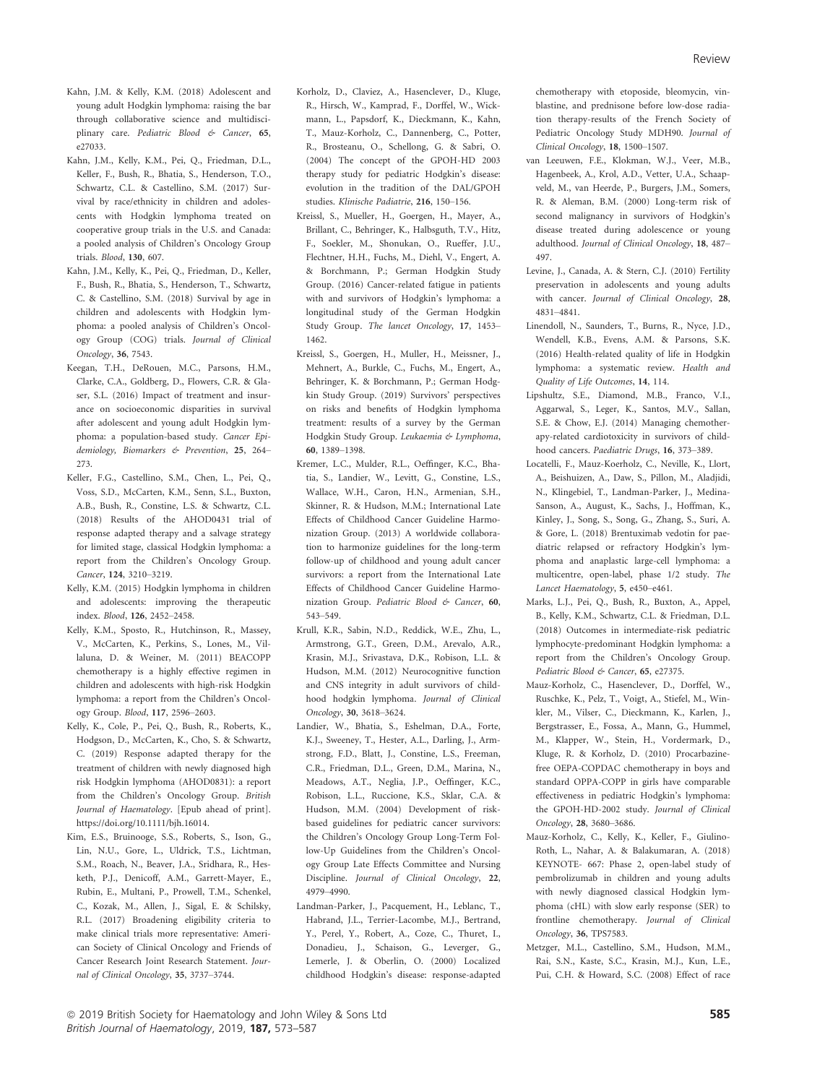- Kahn, J.M. & Kelly, K.M. (2018) Adolescent and young adult Hodgkin lymphoma: raising the bar through collaborative science and multidisciplinary care. Pediatric Blood & Cancer, 65, e27033.
- Kahn, J.M., Kelly, K.M., Pei, Q., Friedman, D.L., Keller, F., Bush, R., Bhatia, S., Henderson, T.O., Schwartz, C.L. & Castellino, S.M. (2017) Survival by race/ethnicity in children and adolescents with Hodgkin lymphoma treated on cooperative group trials in the U.S. and Canada: a pooled analysis of Children's Oncology Group trials. Blood, 130, 607.
- Kahn, J.M., Kelly, K., Pei, Q., Friedman, D., Keller, F., Bush, R., Bhatia, S., Henderson, T., Schwartz, C. & Castellino, S.M. (2018) Survival by age in children and adolescents with Hodgkin lymphoma: a pooled analysis of Children's Oncology Group (COG) trials. Journal of Clinical Oncology, 36, 7543.
- Keegan, T.H., DeRouen, M.C., Parsons, H.M., Clarke, C.A., Goldberg, D., Flowers, C.R. & Glaser, S.L. (2016) Impact of treatment and insurance on socioeconomic disparities in survival after adolescent and young adult Hodgkin lymphoma: a population-based study. Cancer Epidemiology, Biomarkers & Prevention, 25, 264– 273.
- Keller, F.G., Castellino, S.M., Chen, L., Pei, Q., Voss, S.D., McCarten, K.M., Senn, S.L., Buxton, A.B., Bush, R., Constine, L.S. & Schwartz, C.L. (2018) Results of the AHOD0431 trial of response adapted therapy and a salvage strategy for limited stage, classical Hodgkin lymphoma: a report from the Children's Oncology Group. Cancer, 124, 3210–3219.
- Kelly, K.M. (2015) Hodgkin lymphoma in children and adolescents: improving the therapeutic index. Blood, 126, 2452–2458.
- Kelly, K.M., Sposto, R., Hutchinson, R., Massey, V., McCarten, K., Perkins, S., Lones, M., Villaluna, D. & Weiner, M. (2011) BEACOPP chemotherapy is a highly effective regimen in children and adolescents with high-risk Hodgkin lymphoma: a report from the Children's Oncology Group. Blood, 117, 2596–2603.
- Kelly, K., Cole, P., Pei, Q., Bush, R., Roberts, K., Hodgson, D., McCarten, K., Cho, S. & Schwartz, C. (2019) Response adapted therapy for the treatment of children with newly diagnosed high risk Hodgkin lymphoma (AHOD0831): a report from the Children's Oncology Group. British Journal of Haematology. [Epub ahead of print]. [https://doi.org/10.1111/bjh.16014.](https://doi.org/10.1111/bjh.16014)
- Kim, E.S., Bruinooge, S.S., Roberts, S., Ison, G., Lin, N.U., Gore, L., Uldrick, T.S., Lichtman, S.M., Roach, N., Beaver, J.A., Sridhara, R., Hesketh, P.J., Denicoff, A.M., Garrett-Mayer, E., Rubin, E., Multani, P., Prowell, T.M., Schenkel, C., Kozak, M., Allen, J., Sigal, E. & Schilsky, R.L. (2017) Broadening eligibility criteria to make clinical trials more representative: American Society of Clinical Oncology and Friends of Cancer Research Joint Research Statement. Journal of Clinical Oncology, 35, 3737–3744.
- Korholz, D., Claviez, A., Hasenclever, D., Kluge, R., Hirsch, W., Kamprad, F., Dorffel, W., Wickmann, L., Papsdorf, K., Dieckmann, K., Kahn, T., Mauz-Korholz, C., Dannenberg, C., Potter, R., Brosteanu, O., Schellong, G. & Sabri, O. (2004) The concept of the GPOH-HD 2003 therapy study for pediatric Hodgkin's disease: evolution in the tradition of the DAL/GPOH studies. Klinische Padiatrie, 216, 150–156.
- Kreissl, S., Mueller, H., Goergen, H., Mayer, A., Brillant, C., Behringer, K., Halbsguth, T.V., Hitz, F., Soekler, M., Shonukan, O., Rueffer, J.U., Flechtner, H.H., Fuchs, M., Diehl, V., Engert, A. & Borchmann, P.; German Hodgkin Study Group. (2016) Cancer-related fatigue in patients with and survivors of Hodgkin's lymphoma: a longitudinal study of the German Hodgkin Study Group. The lancet Oncology, 17, 1453– 1462.
- Kreissl, S., Goergen, H., Muller, H., Meissner, J., Mehnert, A., Burkle, C., Fuchs, M., Engert, A., Behringer, K. & Borchmann, P.; German Hodgkin Study Group. (2019) Survivors' perspectives on risks and benefits of Hodgkin lymphoma treatment: results of a survey by the German Hodgkin Study Group. Leukaemia & Lymphoma, 60, 1389–1398.
- Kremer, L.C., Mulder, R.L., Oeffinger, K.C., Bhatia, S., Landier, W., Levitt, G., Constine, L.S., Wallace, W.H., Caron, H.N., Armenian, S.H., Skinner, R. & Hudson, M.M.; International Late Effects of Childhood Cancer Guideline Harmonization Group. (2013) A worldwide collaboration to harmonize guidelines for the long-term follow-up of childhood and young adult cancer survivors: a report from the International Late Effects of Childhood Cancer Guideline Harmonization Group. Pediatric Blood & Cancer, 60, 543–549.
- Krull, K.R., Sabin, N.D., Reddick, W.E., Zhu, L., Armstrong, G.T., Green, D.M., Arevalo, A.R., Krasin, M.J., Srivastava, D.K., Robison, L.L. & Hudson, M.M. (2012) Neurocognitive function and CNS integrity in adult survivors of childhood hodgkin lymphoma. Journal of Clinical Oncology, 30, 3618–3624.
- Landier, W., Bhatia, S., Eshelman, D.A., Forte, K.J., Sweeney, T., Hester, A.L., Darling, J., Armstrong, F.D., Blatt, J., Constine, L.S., Freeman, C.R., Friedman, D.L., Green, D.M., Marina, N., Meadows, A.T., Neglia, J.P., Oeffinger, K.C., Robison, L.L., Ruccione, K.S., Sklar, C.A. & Hudson, M.M. (2004) Development of riskbased guidelines for pediatric cancer survivors: the Children's Oncology Group Long-Term Follow-Up Guidelines from the Children's Oncology Group Late Effects Committee and Nursing Discipline. Journal of Clinical Oncology, 22, 4979–4990.
- Landman-Parker, J., Pacquement, H., Leblanc, T., Habrand, J.L., Terrier-Lacombe, M.J., Bertrand, Y., Perel, Y., Robert, A., Coze, C., Thuret, I., Donadieu, J., Schaison, G., Leverger, G., Lemerle, J. & Oberlin, O. (2000) Localized childhood Hodgkin's disease: response-adapted

chemotherapy with etoposide, bleomycin, vinblastine, and prednisone before low-dose radiation therapy-results of the French Society of Pediatric Oncology Study MDH90. Journal of Clinical Oncology, 18, 1500–1507.

- van Leeuwen, F.E., Klokman, W.J., Veer, M.B., Hagenbeek, A., Krol, A.D., Vetter, U.A., Schaapveld, M., van Heerde, P., Burgers, J.M., Somers, R. & Aleman, B.M. (2000) Long-term risk of second malignancy in survivors of Hodgkin's disease treated during adolescence or young adulthood. Journal of Clinical Oncology, 18, 487– 497.
- Levine, J., Canada, A. & Stern, C.J. (2010) Fertility preservation in adolescents and young adults with cancer. Journal of Clinical Oncology, 28, 4831–4841.
- Linendoll, N., Saunders, T., Burns, R., Nyce, J.D., Wendell, K.B., Evens, A.M. & Parsons, S.K. (2016) Health-related quality of life in Hodgkin lymphoma: a systematic review. Health and Quality of Life Outcomes, 14, 114.
- Lipshultz, S.E., Diamond, M.B., Franco, V.I., Aggarwal, S., Leger, K., Santos, M.V., Sallan, S.E. & Chow, E.J. (2014) Managing chemotherapy-related cardiotoxicity in survivors of childhood cancers. Paediatric Drugs, 16, 373–389.
- Locatelli, F., Mauz-Koerholz, C., Neville, K., Llort, A., Beishuizen, A., Daw, S., Pillon, M., Aladjidi, N., Klingebiel, T., Landman-Parker, J., Medina-Sanson, A., August, K., Sachs, J., Hoffman, K., Kinley, J., Song, S., Song, G., Zhang, S., Suri, A. & Gore, L. (2018) Brentuximab vedotin for paediatric relapsed or refractory Hodgkin's lymphoma and anaplastic large-cell lymphoma: a multicentre, open-label, phase 1/2 study. The Lancet Haematology, 5, e450–e461.
- Marks, L.J., Pei, Q., Bush, R., Buxton, A., Appel, B., Kelly, K.M., Schwartz, C.L. & Friedman, D.L. (2018) Outcomes in intermediate-risk pediatric lymphocyte-predominant Hodgkin lymphoma: a report from the Children's Oncology Group. Pediatric Blood & Cancer, 65, e27375.
- Mauz-Korholz, C., Hasenclever, D., Dorffel, W., Ruschke, K., Pelz, T., Voigt, A., Stiefel, M., Winkler, M., Vilser, C., Dieckmann, K., Karlen, J., Bergstrasser, E., Fossa, A., Mann, G., Hummel, M., Klapper, W., Stein, H., Vordermark, D., Kluge, R. & Korholz, D. (2010) Procarbazinefree OEPA-COPDAC chemotherapy in boys and standard OPPA-COPP in girls have comparable effectiveness in pediatric Hodgkin's lymphoma: the GPOH-HD-2002 study. Journal of Clinical Oncology, 28, 3680–3686.
- Mauz-Korholz, C., Kelly, K., Keller, F., Giulino-Roth, L., Nahar, A. & Balakumaran, A. (2018) KEYNOTE- 667: Phase 2, open-label study of pembrolizumab in children and young adults with newly diagnosed classical Hodgkin lymphoma (cHL) with slow early response (SER) to frontline chemotherapy. Journal of Clinical Oncology, 36, TPS7583.
- Metzger, M.L., Castellino, S.M., Hudson, M.M., Rai, S.N., Kaste, S.C., Krasin, M.J., Kun, L.E., Pui, C.H. & Howard, S.C. (2008) Effect of race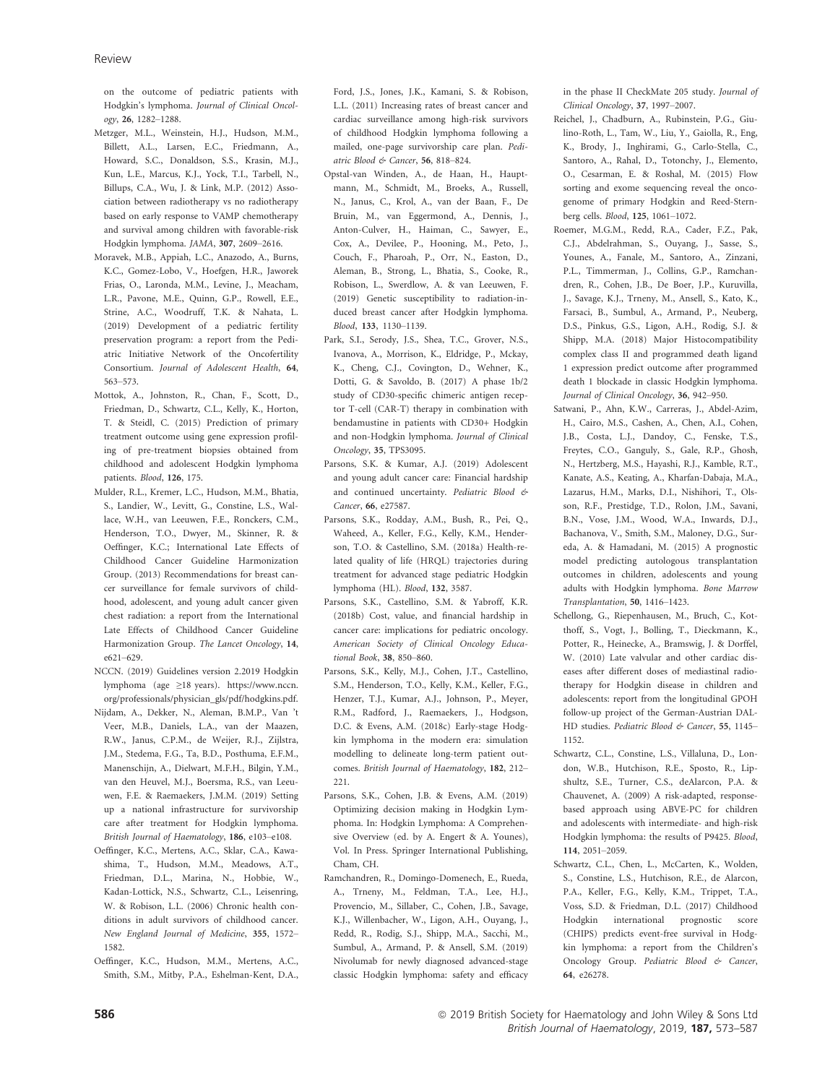on the outcome of pediatric patients with Hodgkin's lymphoma. Journal of Clinical Oncology, 26, 1282–1288.

- Metzger, M.L., Weinstein, H.J., Hudson, M.M., Billett, A.L., Larsen, E.C., Friedmann, A., Howard, S.C., Donaldson, S.S., Krasin, M.J., Kun, L.E., Marcus, K.J., Yock, T.I., Tarbell, N., Billups, C.A., Wu, J. & Link, M.P. (2012) Association between radiotherapy vs no radiotherapy based on early response to VAMP chemotherapy and survival among children with favorable-risk Hodgkin lymphoma. JAMA, 307, 2609–2616.
- Moravek, M.B., Appiah, L.C., Anazodo, A., Burns, K.C., Gomez-Lobo, V., Hoefgen, H.R., Jaworek Frias, O., Laronda, M.M., Levine, J., Meacham, L.R., Pavone, M.E., Quinn, G.P., Rowell, E.E., Strine, A.C., Woodruff, T.K. & Nahata, L. (2019) Development of a pediatric fertility preservation program: a report from the Pediatric Initiative Network of the Oncofertility Consortium. Journal of Adolescent Health, 64, 563–573.
- Mottok, A., Johnston, R., Chan, F., Scott, D., Friedman, D., Schwartz, C.L., Kelly, K., Horton, T. & Steidl, C. (2015) Prediction of primary treatment outcome using gene expression profiling of pre-treatment biopsies obtained from childhood and adolescent Hodgkin lymphoma patients. Blood, 126, 175.
- Mulder, R.L., Kremer, L.C., Hudson, M.M., Bhatia, S., Landier, W., Levitt, G., Constine, L.S., Wallace, W.H., van Leeuwen, F.E., Ronckers, C.M., Henderson, T.O., Dwyer, M., Skinner, R. & Oeffinger, K.C.; International Late Effects of Childhood Cancer Guideline Harmonization Group. (2013) Recommendations for breast cancer surveillance for female survivors of childhood, adolescent, and young adult cancer given chest radiation: a report from the International Late Effects of Childhood Cancer Guideline Harmonization Group. The Lancet Oncology, 14, e621–629.
- NCCN. (2019) Guidelines version 2.2019 Hodgkin lymphoma (age ≥18 years). [https://www.nccn.](https://www.nccn.org/professionals/physician_gls/pdf/hodgkins.pdf) [org/professionals/physician\\_gls/pdf/hodgkins.pdf.](https://www.nccn.org/professionals/physician_gls/pdf/hodgkins.pdf)
- Nijdam, A., Dekker, N., Aleman, B.M.P., Van 't Veer, M.B., Daniels, L.A., van der Maazen, R.W., Janus, C.P.M., de Weijer, R.J., Zijlstra, J.M., Stedema, F.G., Ta, B.D., Posthuma, E.F.M., Manenschijn, A., Dielwart, M.F.H., Bilgin, Y.M., van den Heuvel, M.J., Boersma, R.S., van Leeuwen, F.E. & Raemaekers, J.M.M. (2019) Setting up a national infrastructure for survivorship care after treatment for Hodgkin lymphoma. British Journal of Haematology, 186, e103–e108.
- Oeffinger, K.C., Mertens, A.C., Sklar, C.A., Kawashima, T., Hudson, M.M., Meadows, A.T., Friedman, D.L., Marina, N., Hobbie, W., Kadan-Lottick, N.S., Schwartz, C.L., Leisenring, W. & Robison, L.L. (2006) Chronic health conditions in adult survivors of childhood cancer. New England Journal of Medicine, 355, 1572– 1582.
- Oeffinger, K.C., Hudson, M.M., Mertens, A.C., Smith, S.M., Mitby, P.A., Eshelman-Kent, D.A.,

Ford, J.S., Jones, J.K., Kamani, S. & Robison, L.L. (2011) Increasing rates of breast cancer and cardiac surveillance among high-risk survivors of childhood Hodgkin lymphoma following a mailed, one-page survivorship care plan. Pediatric Blood & Cancer, 56, 818–824.

- Opstal-van Winden, A., de Haan, H., Hauptmann, M., Schmidt, M., Broeks, A., Russell, N., Janus, C., Krol, A., van der Baan, F., De Bruin, M., van Eggermond, A., Dennis, J., Anton-Culver, H., Haiman, C., Sawyer, E., Cox, A., Devilee, P., Hooning, M., Peto, J., Couch, F., Pharoah, P., Orr, N., Easton, D., Aleman, B., Strong, L., Bhatia, S., Cooke, R., Robison, L., Swerdlow, A. & van Leeuwen, F. (2019) Genetic susceptibility to radiation-induced breast cancer after Hodgkin lymphoma. Blood, 133, 1130–1139.
- Park, S.I., Serody, J.S., Shea, T.C., Grover, N.S., Ivanova, A., Morrison, K., Eldridge, P., Mckay, K., Cheng, C.J., Covington, D., Wehner, K., Dotti, G. & Savoldo, B. (2017) A phase 1b/2 study of CD30-specific chimeric antigen receptor T-cell (CAR-T) therapy in combination with bendamustine in patients with CD30+ Hodgkin and non-Hodgkin lymphoma. Journal of Clinical Oncology, 35, TPS3095.
- Parsons, S.K. & Kumar, A.J. (2019) Adolescent and young adult cancer care: Financial hardship and continued uncertainty. Pediatric Blood & Cancer, 66, e27587.
- Parsons, S.K., Rodday, A.M., Bush, R., Pei, Q., Waheed, A., Keller, F.G., Kelly, K.M., Henderson, T.O. & Castellino, S.M. (2018a) Health-related quality of life (HRQL) trajectories during treatment for advanced stage pediatric Hodgkin lymphoma (HL). Blood, 132, 3587.
- Parsons, S.K., Castellino, S.M. & Yabroff, K.R. (2018b) Cost, value, and financial hardship in cancer care: implications for pediatric oncology. American Society of Clinical Oncology Educational Book, 38, 850–860.
- Parsons, S.K., Kelly, M.J., Cohen, J.T., Castellino, S.M., Henderson, T.O., Kelly, K.M., Keller, F.G., Henzer, T.J., Kumar, A.J., Johnson, P., Meyer, R.M., Radford, J., Raemaekers, J., Hodgson, D.C. & Evens, A.M. (2018c) Early-stage Hodgkin lymphoma in the modern era: simulation modelling to delineate long-term patient outcomes. British Journal of Haematology, 182, 212– 221.
- Parsons, S.K., Cohen, J.B. & Evens, A.M. (2019) Optimizing decision making in Hodgkin Lymphoma. In: Hodgkin Lymphoma: A Comprehensive Overview (ed. by A. Engert & A. Younes), Vol. In Press. Springer International Publishing, Cham, CH.
- Ramchandren, R., Domingo-Domenech, E., Rueda, A., Trneny, M., Feldman, T.A., Lee, H.J., Provencio, M., Sillaber, C., Cohen, J.B., Savage, K.J., Willenbacher, W., Ligon, A.H., Ouyang, J., Redd, R., Rodig, S.J., Shipp, M.A., Sacchi, M., Sumbul, A., Armand, P. & Ansell, S.M. (2019) Nivolumab for newly diagnosed advanced-stage classic Hodgkin lymphoma: safety and efficacy

in the phase II CheckMate 205 study. Journal of Clinical Oncology, 37, 1997–2007.

- Reichel, J., Chadburn, A., Rubinstein, P.G., Giulino-Roth, L., Tam, W., Liu, Y., Gaiolla, R., Eng, K., Brody, J., Inghirami, G., Carlo-Stella, C., Santoro, A., Rahal, D., Totonchy, J., Elemento, O., Cesarman, E. & Roshal, M. (2015) Flow sorting and exome sequencing reveal the oncogenome of primary Hodgkin and Reed-Sternberg cells. Blood, 125, 1061–1072.
- Roemer, M.G.M., Redd, R.A., Cader, F.Z., Pak, C.J., Abdelrahman, S., Ouyang, J., Sasse, S., Younes, A., Fanale, M., Santoro, A., Zinzani, P.L., Timmerman, J., Collins, G.P., Ramchandren, R., Cohen, J.B., De Boer, J.P., Kuruvilla, J., Savage, K.J., Trneny, M., Ansell, S., Kato, K., Farsaci, B., Sumbul, A., Armand, P., Neuberg, D.S., Pinkus, G.S., Ligon, A.H., Rodig, S.J. & Shipp, M.A. (2018) Major Histocompatibility complex class II and programmed death ligand 1 expression predict outcome after programmed death 1 blockade in classic Hodgkin lymphoma. Journal of Clinical Oncology, 36, 942–950.
- Satwani, P., Ahn, K.W., Carreras, J., Abdel-Azim, H., Cairo, M.S., Cashen, A., Chen, A.I., Cohen, J.B., Costa, L.J., Dandoy, C., Fenske, T.S., Freytes, C.O., Ganguly, S., Gale, R.P., Ghosh, N., Hertzberg, M.S., Hayashi, R.J., Kamble, R.T., Kanate, A.S., Keating, A., Kharfan-Dabaja, M.A., Lazarus, H.M., Marks, D.I., Nishihori, T., Olsson, R.F., Prestidge, T.D., Rolon, J.M., Savani, B.N., Vose, J.M., Wood, W.A., Inwards, D.J., Bachanova, V., Smith, S.M., Maloney, D.G., Sureda, A. & Hamadani, M. (2015) A prognostic model predicting autologous transplantation outcomes in children, adolescents and young adults with Hodgkin lymphoma. Bone Marrow Transplantation, 50, 1416–1423.
- Schellong, G., Riepenhausen, M., Bruch, C., Kotthoff, S., Vogt, J., Bolling, T., Dieckmann, K., Potter, R., Heinecke, A., Bramswig, J. & Dorffel, W. (2010) Late valvular and other cardiac diseases after different doses of mediastinal radiotherapy for Hodgkin disease in children and adolescents: report from the longitudinal GPOH follow-up project of the German-Austrian DAL-HD studies. Pediatric Blood & Cancer, 55, 1145-1152.
- Schwartz, C.L., Constine, L.S., Villaluna, D., London, W.B., Hutchison, R.E., Sposto, R., Lipshultz, S.E., Turner, C.S., deAlarcon, P.A. & Chauvenet, A. (2009) A risk-adapted, responsebased approach using ABVE-PC for children and adolescents with intermediate- and high-risk Hodgkin lymphoma: the results of P9425. Blood, 114, 2051–2059.
- Schwartz, C.L., Chen, L., McCarten, K., Wolden, S., Constine, L.S., Hutchison, R.E., de Alarcon, P.A., Keller, F.G., Kelly, K.M., Trippet, T.A., Voss, S.D. & Friedman, D.L. (2017) Childhood Hodgkin international prognostic score (CHIPS) predicts event-free survival in Hodgkin lymphoma: a report from the Children's Oncology Group. Pediatric Blood & Cancer, 64, e26278.